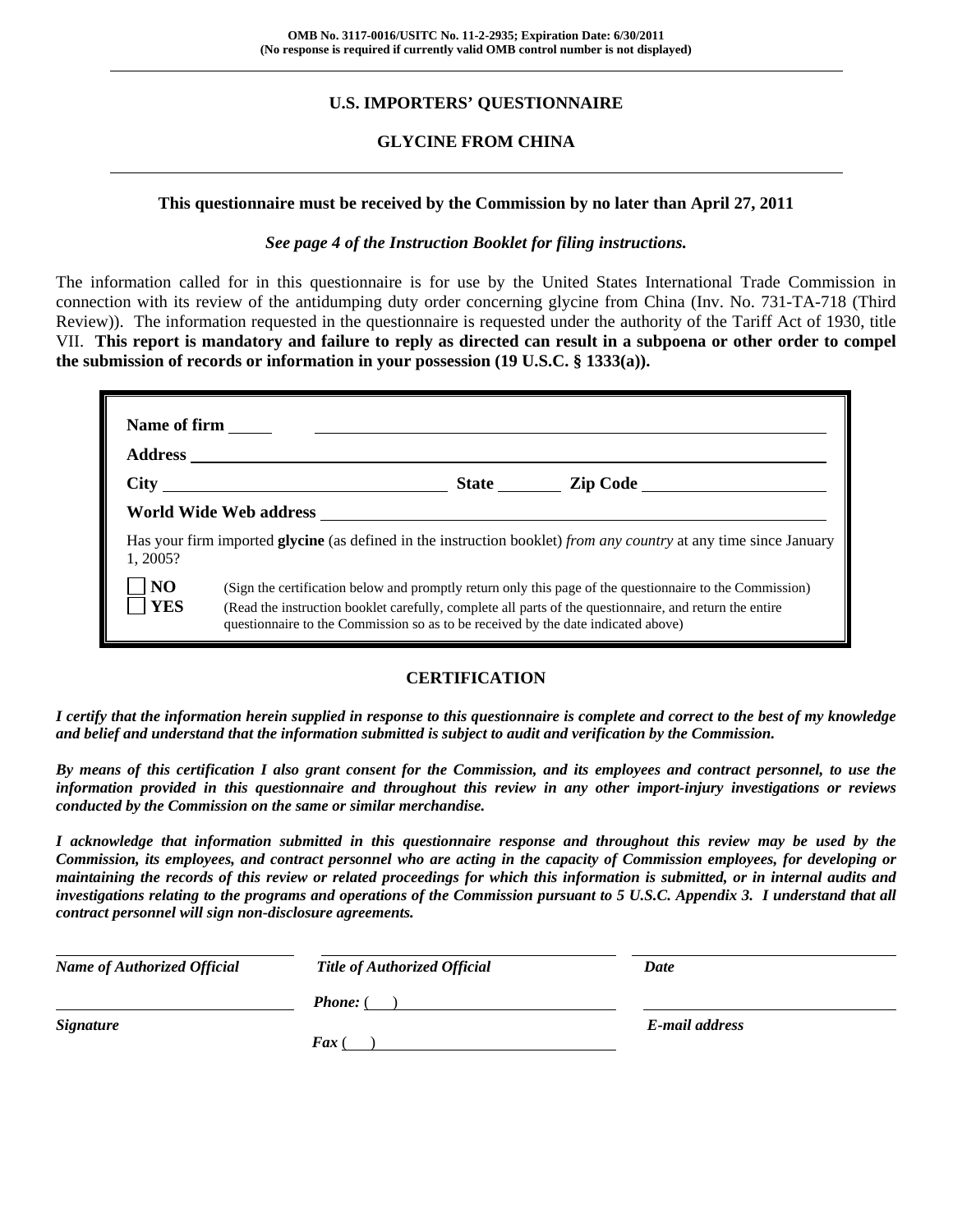### **U.S. IMPORTERS' QUESTIONNAIRE**

#### **GLYCINE FROM CHINA**

#### **This questionnaire must be received by the Commission by no later than April 27, 2011**

#### *See page 4 of the Instruction Booklet for filing instructions.*

The information called for in this questionnaire is for use by the United States International Trade Commission in connection with its review of the antidumping duty order concerning glycine from China (Inv. No. 731-TA-718 (Third Review)). The information requested in the questionnaire is requested under the authority of the Tariff Act of 1930, title VII. **This report is mandatory and failure to reply as directed can result in a subpoena or other order to compel the submission of records or information in your possession (19 U.S.C. § 1333(a)).** 

| <b>Name of firm</b>          |                                                                                                                                                                                                                                                                                                          |  |  |
|------------------------------|----------------------------------------------------------------------------------------------------------------------------------------------------------------------------------------------------------------------------------------------------------------------------------------------------------|--|--|
|                              |                                                                                                                                                                                                                                                                                                          |  |  |
|                              | State <u>Lip Code</u>                                                                                                                                                                                                                                                                                    |  |  |
|                              | World Wide Web address                                                                                                                                                                                                                                                                                   |  |  |
| 1, 2005?                     | Has your firm imported <b>glycine</b> (as defined in the instruction booklet) from any country at any time since January                                                                                                                                                                                 |  |  |
| N <sub>O</sub><br><b>YES</b> | (Sign the certification below and promptly return only this page of the questionnaire to the Commission)<br>(Read the instruction booklet carefully, complete all parts of the questionnaire, and return the entire<br>questionnaire to the Commission so as to be received by the date indicated above) |  |  |

#### **CERTIFICATION**

*I certify that the information herein supplied in response to this questionnaire is complete and correct to the best of my knowledge and belief and understand that the information submitted is subject to audit and verification by the Commission.* 

*By means of this certification I also grant consent for the Commission, and its employees and contract personnel, to use the information provided in this questionnaire and throughout this review in any other import-injury investigations or reviews conducted by the Commission on the same or similar merchandise.* 

*I acknowledge that information submitted in this questionnaire response and throughout this review may be used by the Commission, its employees, and contract personnel who are acting in the capacity of Commission employees, for developing or maintaining the records of this review or related proceedings for which this information is submitted, or in internal audits and investigations relating to the programs and operations of the Commission pursuant to 5 U.S.C. Appendix 3. I understand that all contract personnel will sign non-disclosure agreements.* 

| <b>Name of Authorized Official</b> | <b>Title of Authorized Official</b> | Date           |
|------------------------------------|-------------------------------------|----------------|
|                                    | <b>Phone:</b> (                     |                |
| <b>Signature</b>                   | <b>Fax</b> (                        | E-mail address |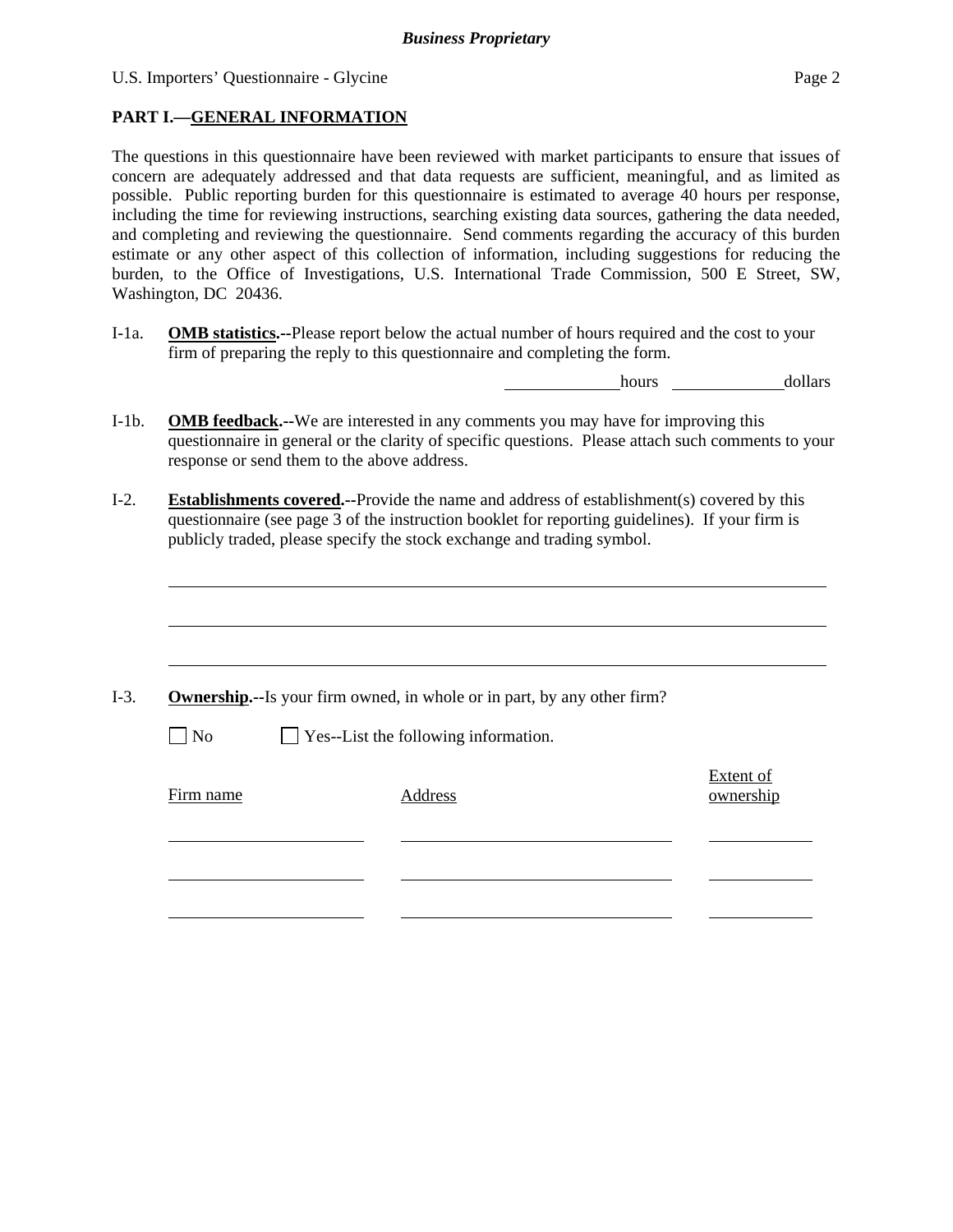l

#### **PART I.—GENERAL INFORMATION**

The questions in this questionnaire have been reviewed with market participants to ensure that issues of concern are adequately addressed and that data requests are sufficient, meaningful, and as limited as possible. Public reporting burden for this questionnaire is estimated to average 40 hours per response, including the time for reviewing instructions, searching existing data sources, gathering the data needed, and completing and reviewing the questionnaire. Send comments regarding the accuracy of this burden estimate or any other aspect of this collection of information, including suggestions for reducing the burden, to the Office of Investigations, U.S. International Trade Commission, 500 E Street, SW, Washington, DC 20436.

I-1a. **OMB statistics.--**Please report below the actual number of hours required and the cost to your firm of preparing the reply to this questionnaire and completing the form.

hours dollars

- I-1b. **OMB feedback.--**We are interested in any comments you may have for improving this questionnaire in general or the clarity of specific questions. Please attach such comments to your response or send them to the above address.
- I-2. **Establishments covered.--**Provide the name and address of establishment(s) covered by this questionnaire (see page 3 of the instruction booklet for reporting guidelines). If your firm is publicly traded, please specify the stock exchange and trading symbol.

|           | <b>Ownership.</b> --Is your firm owned, in whole or in part, by any other firm? |                        |
|-----------|---------------------------------------------------------------------------------|------------------------|
| $\Box$ No | $\Box$ Yes--List the following information.                                     |                        |
| Firm name | Address                                                                         | Extent of<br>ownership |
|           |                                                                                 |                        |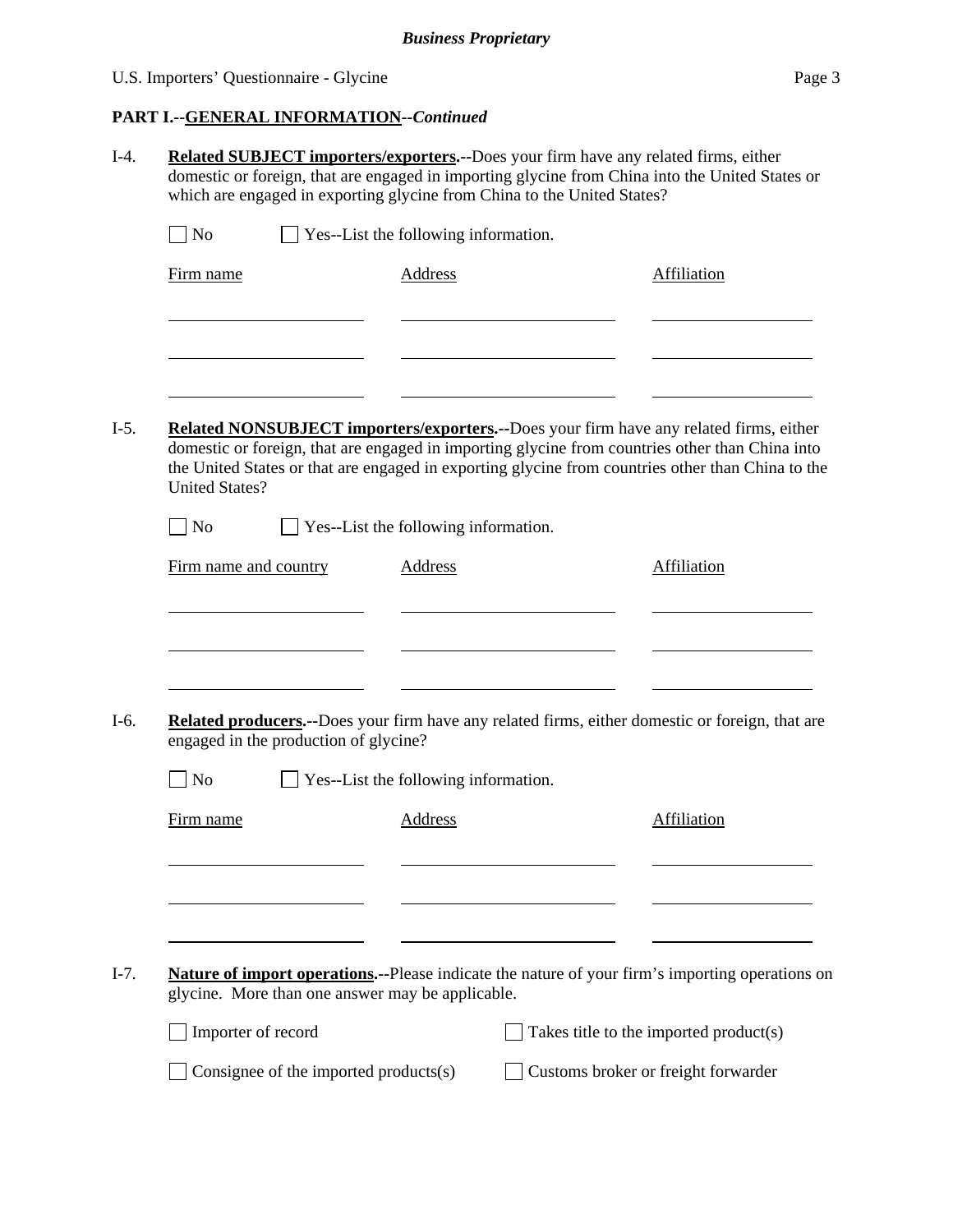## U.S. Importers' Questionnaire - Glycine Page 3

## **PART I.--GENERAL INFORMATION***--Continued*

|                                                  |                                                                         | <b>Related SUBJECT importers/exporters.--Does your firm have any related firms, either</b><br>domestic or foreign, that are engaged in importing glycine from China into the United States or                                                                                                  |
|--------------------------------------------------|-------------------------------------------------------------------------|------------------------------------------------------------------------------------------------------------------------------------------------------------------------------------------------------------------------------------------------------------------------------------------------|
|                                                  | which are engaged in exporting glycine from China to the United States? |                                                                                                                                                                                                                                                                                                |
| $\Box$ No                                        | Yes--List the following information.                                    |                                                                                                                                                                                                                                                                                                |
| Firm name                                        | <b>Address</b>                                                          | Affiliation                                                                                                                                                                                                                                                                                    |
|                                                  |                                                                         |                                                                                                                                                                                                                                                                                                |
|                                                  |                                                                         |                                                                                                                                                                                                                                                                                                |
|                                                  |                                                                         |                                                                                                                                                                                                                                                                                                |
| <b>United States?</b>                            |                                                                         | Related NONSUBJECT importers/exporters.--Does your firm have any related firms, either<br>domestic or foreign, that are engaged in importing glycine from countries other than China into<br>the United States or that are engaged in exporting glycine from countries other than China to the |
| $ $ No                                           | Yes--List the following information.                                    |                                                                                                                                                                                                                                                                                                |
| Firm name and country                            | Address                                                                 | Affiliation                                                                                                                                                                                                                                                                                    |
|                                                  |                                                                         |                                                                                                                                                                                                                                                                                                |
|                                                  |                                                                         |                                                                                                                                                                                                                                                                                                |
|                                                  |                                                                         |                                                                                                                                                                                                                                                                                                |
| engaged in the production of glycine?            |                                                                         | Related producers.--Does your firm have any related firms, either domestic or foreign, that are                                                                                                                                                                                                |
| $\overline{N}$                                   | Yes--List the following information.                                    |                                                                                                                                                                                                                                                                                                |
| Firm name                                        | Address                                                                 | Affiliation                                                                                                                                                                                                                                                                                    |
|                                                  |                                                                         |                                                                                                                                                                                                                                                                                                |
|                                                  |                                                                         |                                                                                                                                                                                                                                                                                                |
|                                                  |                                                                         |                                                                                                                                                                                                                                                                                                |
|                                                  |                                                                         | Nature of import operations.--Please indicate the nature of your firm's importing operations on                                                                                                                                                                                                |
| glycine. More than one answer may be applicable. |                                                                         |                                                                                                                                                                                                                                                                                                |
| Importer of record                               |                                                                         | Takes title to the imported product(s)                                                                                                                                                                                                                                                         |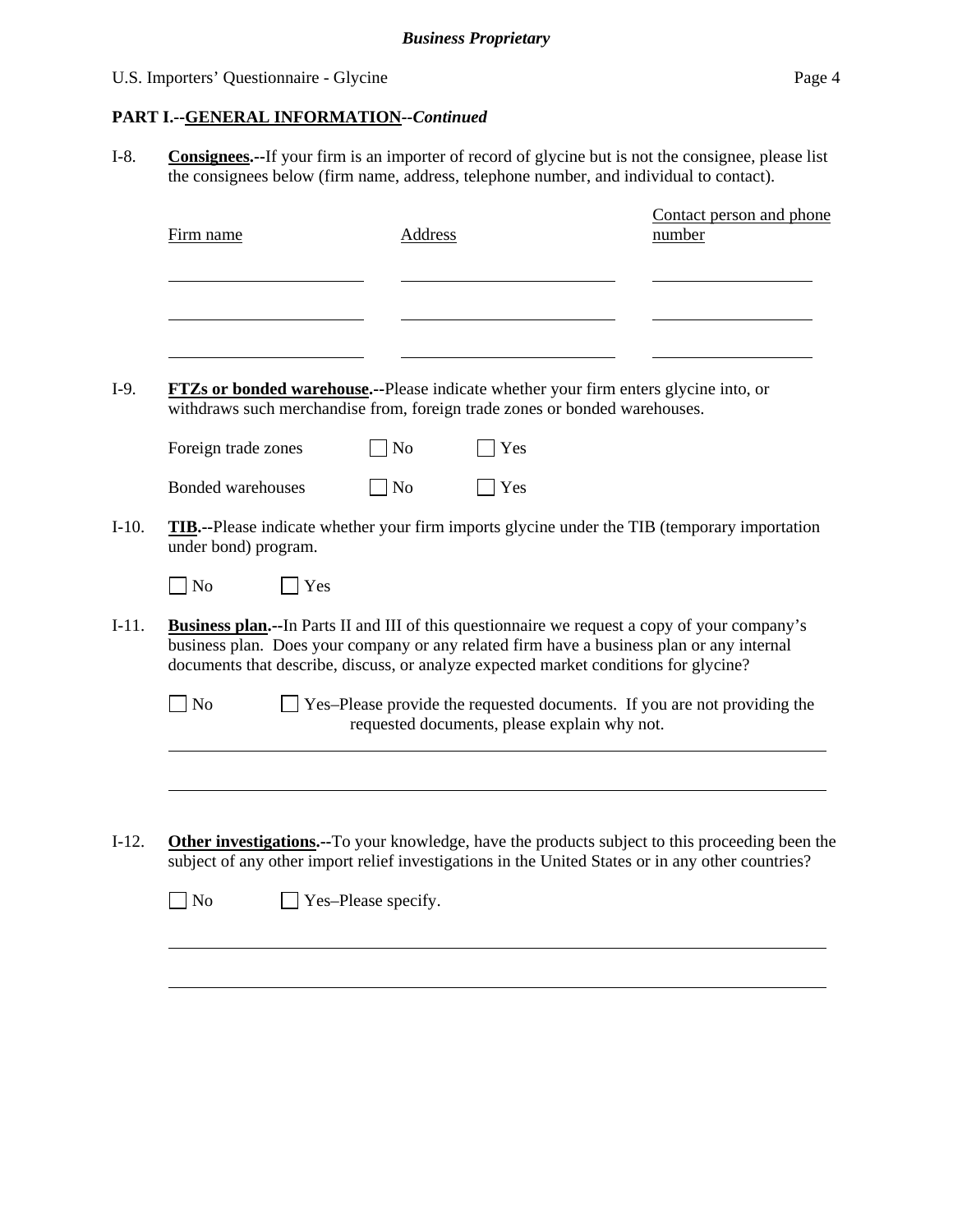### U.S. Importers' Questionnaire - Glycine Page 4

### **PART I.--GENERAL INFORMATION***--Continued*

I-8. **Consignees.--**If your firm is an importer of record of glycine but is not the consignee, please list the consignees below (firm name, address, telephone number, and individual to contact).

| Firm name                                                                                               | Address        |                                              | Contact person and phone<br>number                                                                                                                                                                                                                                                         |
|---------------------------------------------------------------------------------------------------------|----------------|----------------------------------------------|--------------------------------------------------------------------------------------------------------------------------------------------------------------------------------------------------------------------------------------------------------------------------------------------|
|                                                                                                         |                |                                              |                                                                                                                                                                                                                                                                                            |
|                                                                                                         |                |                                              |                                                                                                                                                                                                                                                                                            |
| withdraws such merchandise from, foreign trade zones or bonded warehouses.                              |                |                                              | <b>FTZs or bonded warehouse.</b> --Please indicate whether your firm enters glycine into, or                                                                                                                                                                                               |
| Foreign trade zones                                                                                     | N <sub>o</sub> | Yes                                          |                                                                                                                                                                                                                                                                                            |
| <b>Bonded warehouses</b>                                                                                | N <sub>o</sub> | Yes                                          |                                                                                                                                                                                                                                                                                            |
| under bond) program.<br>N <sub>o</sub><br>$\blacksquare$ Yes                                            |                |                                              | <b>TIB.</b> --Please indicate whether your firm imports glycine under the TIB (temporary importation                                                                                                                                                                                       |
|                                                                                                         |                |                                              | <b>Business plan.</b> --In Parts II and III of this questionnaire we request a copy of your company's<br>business plan. Does your company or any related firm have a business plan or any internal<br>documents that describe, discuss, or analyze expected market conditions for glycine? |
| $\n  o$                                                                                                 |                | requested documents, please explain why not. | Yes-Please provide the requested documents. If you are not providing the                                                                                                                                                                                                                   |
|                                                                                                         |                |                                              |                                                                                                                                                                                                                                                                                            |
|                                                                                                         |                |                                              |                                                                                                                                                                                                                                                                                            |
| <b>Other investigations.</b> --To your knowledge, have the products subject to this proceeding been the |                |                                              | subject of any other import relief investigations in the United States or in any other countries?                                                                                                                                                                                          |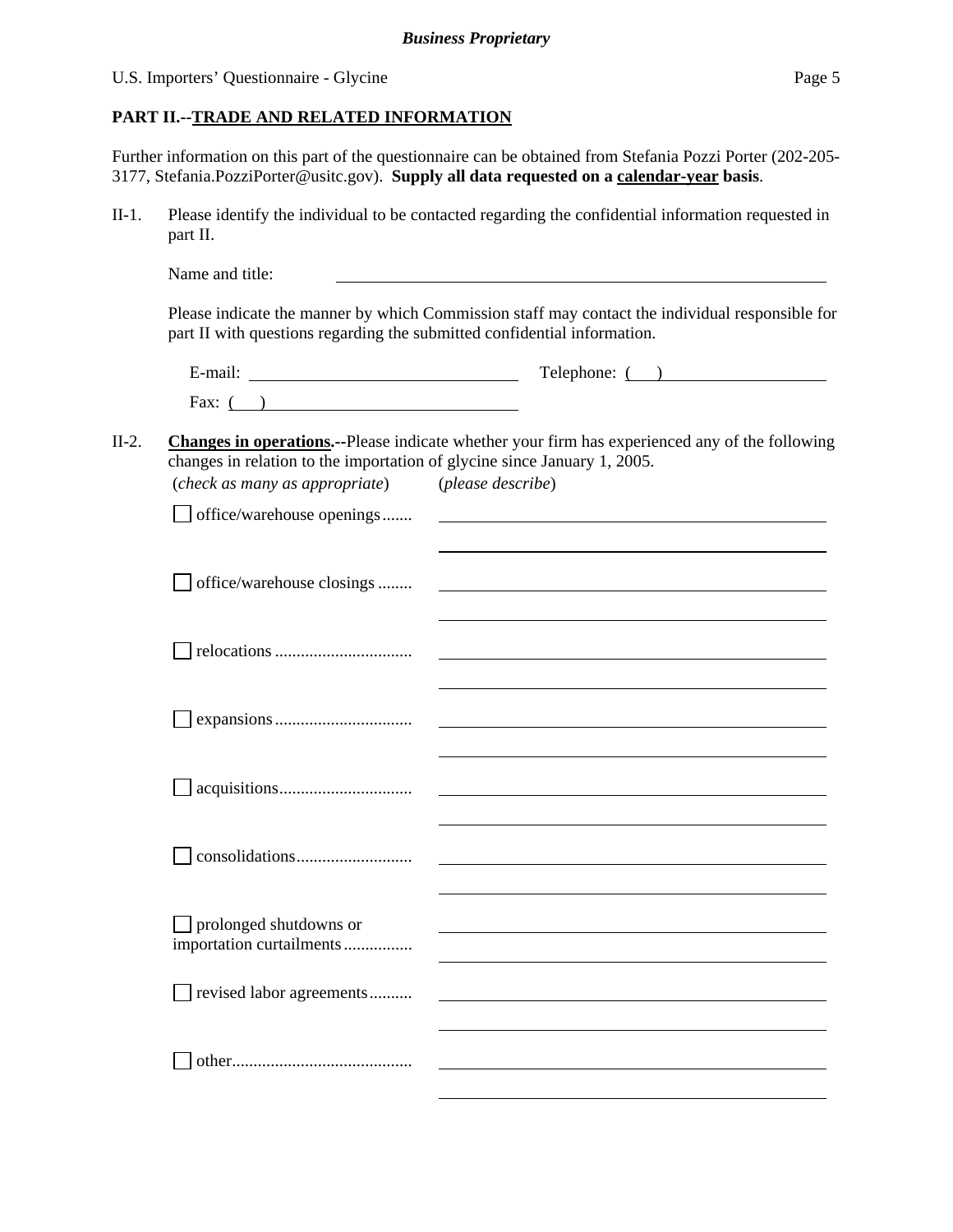#### U.S. Importers' Questionnaire - Glycine Page 5

#### **PART II.--TRADE AND RELATED INFORMATION**

Further information on this part of the questionnaire can be obtained from Stefania Pozzi Porter (202-205- 3177, Stefania.PozziPorter@usitc.gov). **Supply all data requested on a calendar-year basis**.

II-1. Please identify the individual to be contacted regarding the confidential information requested in part II.

|                                                                                                            | $\text{Telephone: } ($ $)$                                                                             |
|------------------------------------------------------------------------------------------------------------|--------------------------------------------------------------------------------------------------------|
| Fax: $($ )                                                                                                 |                                                                                                        |
|                                                                                                            | <b>Changes in operations.</b> --Please indicate whether your firm has experienced any of the following |
| changes in relation to the importation of glycine since January 1, 2005.<br>(check as many as appropriate) | (please describe)                                                                                      |
| office/warehouse openings                                                                                  |                                                                                                        |
| office/warehouse closings                                                                                  |                                                                                                        |
|                                                                                                            |                                                                                                        |
|                                                                                                            | <u> 1989 - Johann Stein, fransk politik (d. 1989)</u>                                                  |
|                                                                                                            |                                                                                                        |
|                                                                                                            |                                                                                                        |
| prolonged shutdowns or<br>importation curtailments                                                         |                                                                                                        |
| revised labor agreements                                                                                   |                                                                                                        |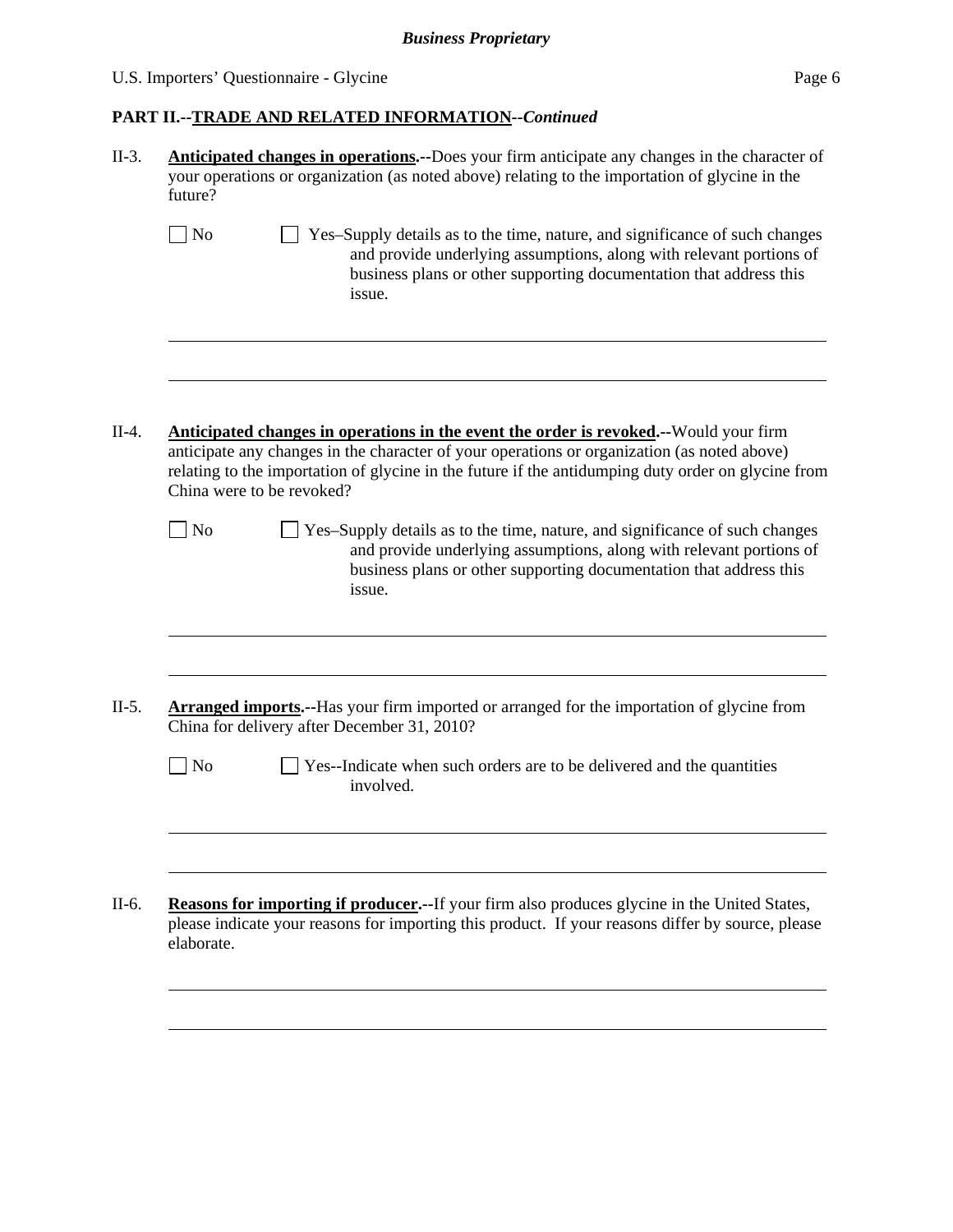## U.S. Importers' Questionnaire - Glycine Page 6

## **PART II.--TRADE AND RELATED INFORMATION***--Continued*

| II-3.   | Anticipated changes in operations.--Does your firm anticipate any changes in the character of<br>your operations or organization (as noted above) relating to the importation of glycine in the<br>future?                                                                                                                      |
|---------|---------------------------------------------------------------------------------------------------------------------------------------------------------------------------------------------------------------------------------------------------------------------------------------------------------------------------------|
|         | $\vert$ No<br>Yes-Supply details as to the time, nature, and significance of such changes<br>and provide underlying assumptions, along with relevant portions of<br>business plans or other supporting documentation that address this<br>issue.                                                                                |
|         |                                                                                                                                                                                                                                                                                                                                 |
| $II-4.$ | <b>Anticipated changes in operations in the event the order is revoked.</b> --Would your firm<br>anticipate any changes in the character of your operations or organization (as noted above)<br>relating to the importation of glycine in the future if the antidumping duty order on glycine from<br>China were to be revoked? |
|         | $\blacksquare$ No<br>Yes-Supply details as to the time, nature, and significance of such changes<br>and provide underlying assumptions, along with relevant portions of<br>business plans or other supporting documentation that address this<br>issue.                                                                         |
|         |                                                                                                                                                                                                                                                                                                                                 |
| $II-5.$ | <b>Arranged imports.</b> --Has your firm imported or arranged for the importation of glycine from<br>China for delivery after December 31, 2010?                                                                                                                                                                                |
|         | $\vert$ No<br>Yes--Indicate when such orders are to be delivered and the quantities<br>involved.                                                                                                                                                                                                                                |
|         |                                                                                                                                                                                                                                                                                                                                 |
| II-6.   | <b>Reasons for importing if producer.</b> --If your firm also produces glycine in the United States,<br>please indicate your reasons for importing this product. If your reasons differ by source, please<br>elaborate.                                                                                                         |
|         |                                                                                                                                                                                                                                                                                                                                 |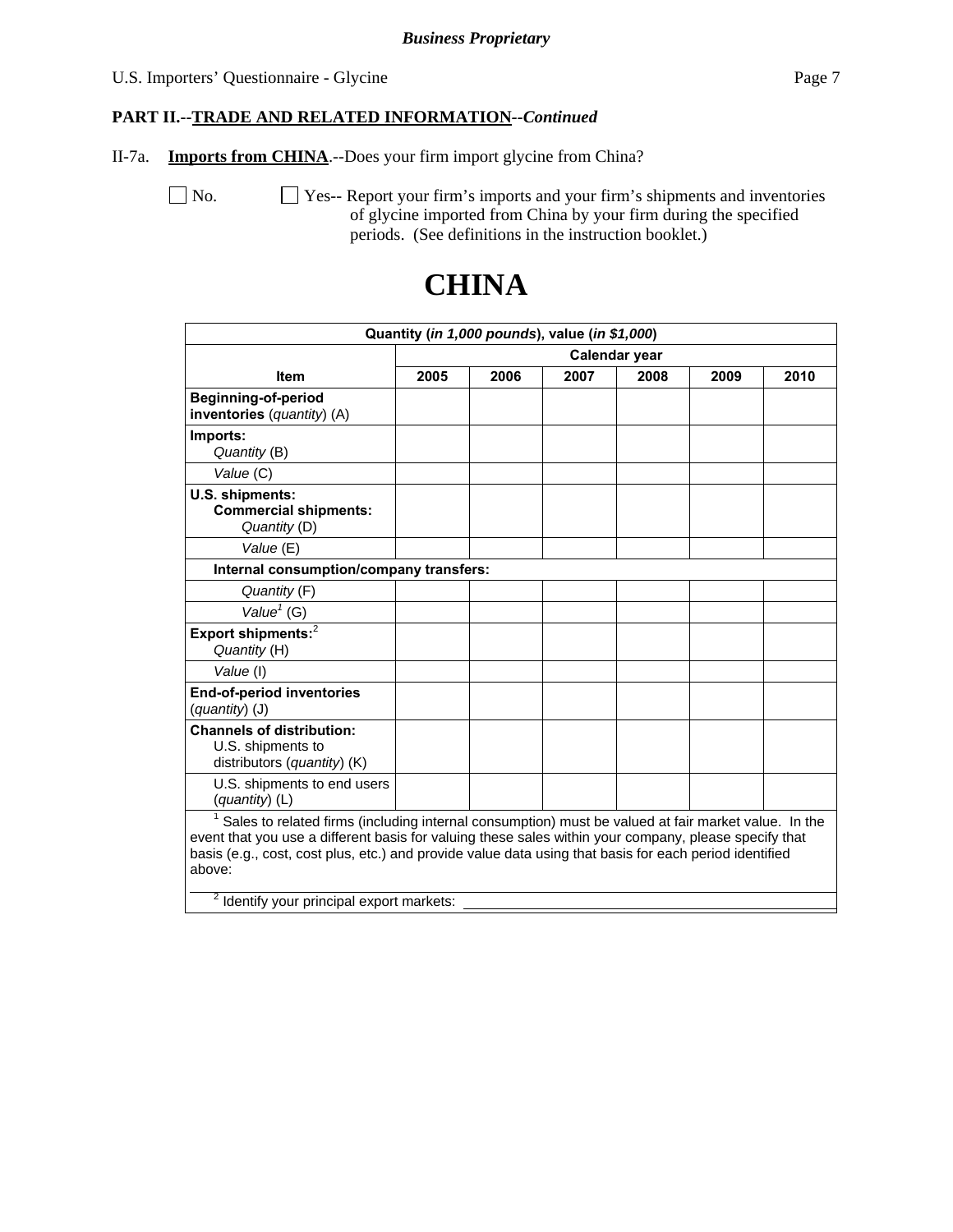#### U.S. Importers' Questionnaire - Glycine Page 7

## **PART II.--TRADE AND RELATED INFORMATION***--Continued*

II-7a. **Imports from CHINA**.--Does your firm import glycine from China?

No.  $\Box$  Yes-- Report your firm's imports and your firm's shipments and inventories of glycine imported from China by your firm during the specified periods. (See definitions in the instruction booklet.)

|                                                                                                                                                                                                                                                                                                                                  |      |      | Quantity (in 1,000 pounds), value (in \$1,000) |               |      |      |
|----------------------------------------------------------------------------------------------------------------------------------------------------------------------------------------------------------------------------------------------------------------------------------------------------------------------------------|------|------|------------------------------------------------|---------------|------|------|
|                                                                                                                                                                                                                                                                                                                                  |      |      |                                                | Calendar year |      |      |
| <b>Item</b>                                                                                                                                                                                                                                                                                                                      | 2005 | 2006 | 2007                                           | 2008          | 2009 | 2010 |
| <b>Beginning-of-period</b><br>inventories (quantity) (A)                                                                                                                                                                                                                                                                         |      |      |                                                |               |      |      |
| Imports:<br>Quantity (B)                                                                                                                                                                                                                                                                                                         |      |      |                                                |               |      |      |
| Value (C)                                                                                                                                                                                                                                                                                                                        |      |      |                                                |               |      |      |
| U.S. shipments:<br><b>Commercial shipments:</b><br>Quantity (D)                                                                                                                                                                                                                                                                  |      |      |                                                |               |      |      |
| Value (E)                                                                                                                                                                                                                                                                                                                        |      |      |                                                |               |      |      |
| Internal consumption/company transfers:                                                                                                                                                                                                                                                                                          |      |      |                                                |               |      |      |
| Quantity (F)                                                                                                                                                                                                                                                                                                                     |      |      |                                                |               |      |      |
| $\overline{\mathsf{Value}}^1$ (G)                                                                                                                                                                                                                                                                                                |      |      |                                                |               |      |      |
| Export shipments: <sup>2</sup><br>Quantity (H)                                                                                                                                                                                                                                                                                   |      |      |                                                |               |      |      |
| Value (I)                                                                                                                                                                                                                                                                                                                        |      |      |                                                |               |      |      |
| <b>End-of-period inventories</b><br>$(quantity)$ (J)                                                                                                                                                                                                                                                                             |      |      |                                                |               |      |      |
| <b>Channels of distribution:</b><br>U.S. shipments to<br>distributors (quantity) (K)                                                                                                                                                                                                                                             |      |      |                                                |               |      |      |
| U.S. shipments to end users<br>(quantity) (L)                                                                                                                                                                                                                                                                                    |      |      |                                                |               |      |      |
| Sales to related firms (including internal consumption) must be valued at fair market value. In the<br>event that you use a different basis for valuing these sales within your company, please specify that<br>basis (e.g., cost, cost plus, etc.) and provide value data using that basis for each period identified<br>above: |      |      |                                                |               |      |      |
| <sup>2</sup> Identify your principal export markets:                                                                                                                                                                                                                                                                             |      |      |                                                |               |      |      |

## **CHINA**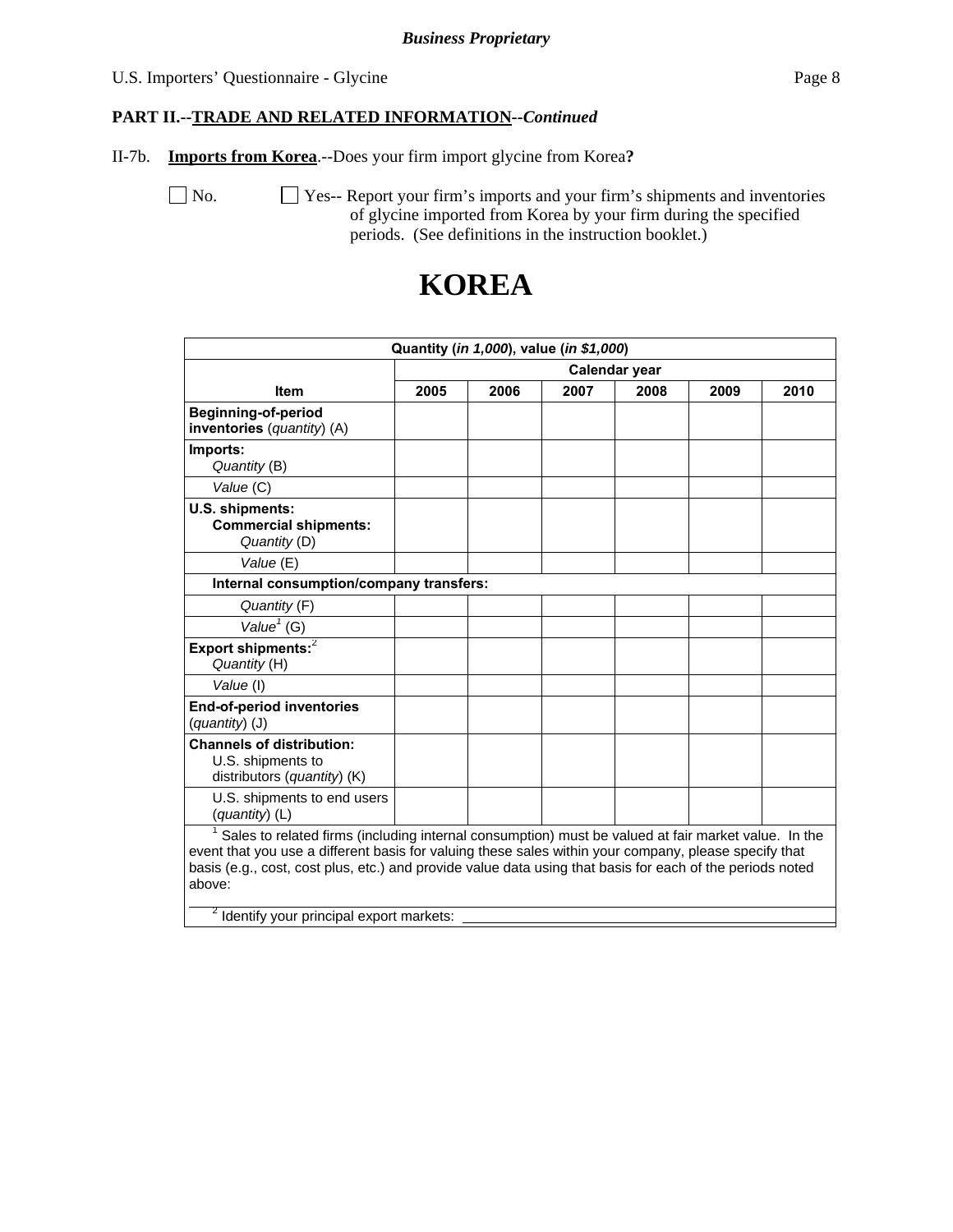#### U.S. Importers' Questionnaire - Glycine Page 8

#### **PART II.--TRADE AND RELATED INFORMATION***--Continued*

II-7b. **Imports from Korea**.--Does your firm import glycine from Korea**?** 

No.  $\Box$  Yes-- Report your firm's imports and your firm's shipments and inventories of glycine imported from Korea by your firm during the specified periods. (See definitions in the instruction booklet.)

|                                                                                                                                                                                                                                                                                                                                     |      |      | Quantity (in 1,000), value (in \$1,000) |      |      |      |
|-------------------------------------------------------------------------------------------------------------------------------------------------------------------------------------------------------------------------------------------------------------------------------------------------------------------------------------|------|------|-----------------------------------------|------|------|------|
| Calendar year                                                                                                                                                                                                                                                                                                                       |      |      |                                         |      |      |      |
| <b>Item</b>                                                                                                                                                                                                                                                                                                                         | 2005 | 2006 | 2007                                    | 2008 | 2009 | 2010 |
| <b>Beginning-of-period</b><br>inventories (quantity) (A)                                                                                                                                                                                                                                                                            |      |      |                                         |      |      |      |
| Imports:<br>Quantity (B)                                                                                                                                                                                                                                                                                                            |      |      |                                         |      |      |      |
| Value (C)                                                                                                                                                                                                                                                                                                                           |      |      |                                         |      |      |      |
| U.S. shipments:<br><b>Commercial shipments:</b><br>Quantity (D)                                                                                                                                                                                                                                                                     |      |      |                                         |      |      |      |
| Value (E)                                                                                                                                                                                                                                                                                                                           |      |      |                                         |      |      |      |
| Internal consumption/company transfers:                                                                                                                                                                                                                                                                                             |      |      |                                         |      |      |      |
| Quantity (F)                                                                                                                                                                                                                                                                                                                        |      |      |                                         |      |      |      |
| Value $1$ (G)                                                                                                                                                                                                                                                                                                                       |      |      |                                         |      |      |      |
| Export shipments: <sup>2</sup><br>Quantity (H)                                                                                                                                                                                                                                                                                      |      |      |                                         |      |      |      |
| Value (I)                                                                                                                                                                                                                                                                                                                           |      |      |                                         |      |      |      |
| <b>End-of-period inventories</b><br>(quantity) (J)                                                                                                                                                                                                                                                                                  |      |      |                                         |      |      |      |
| <b>Channels of distribution:</b><br>U.S. shipments to<br>distributors (quantity) $(K)$                                                                                                                                                                                                                                              |      |      |                                         |      |      |      |
| U.S. shipments to end users<br>$(quantity)$ (L)                                                                                                                                                                                                                                                                                     |      |      |                                         |      |      |      |
| Sales to related firms (including internal consumption) must be valued at fair market value. In the<br>event that you use a different basis for valuing these sales within your company, please specify that<br>basis (e.g., cost, cost plus, etc.) and provide value data using that basis for each of the periods noted<br>above: |      |      |                                         |      |      |      |

## **KOREA**

<sup>2</sup> Identify your principal export markets: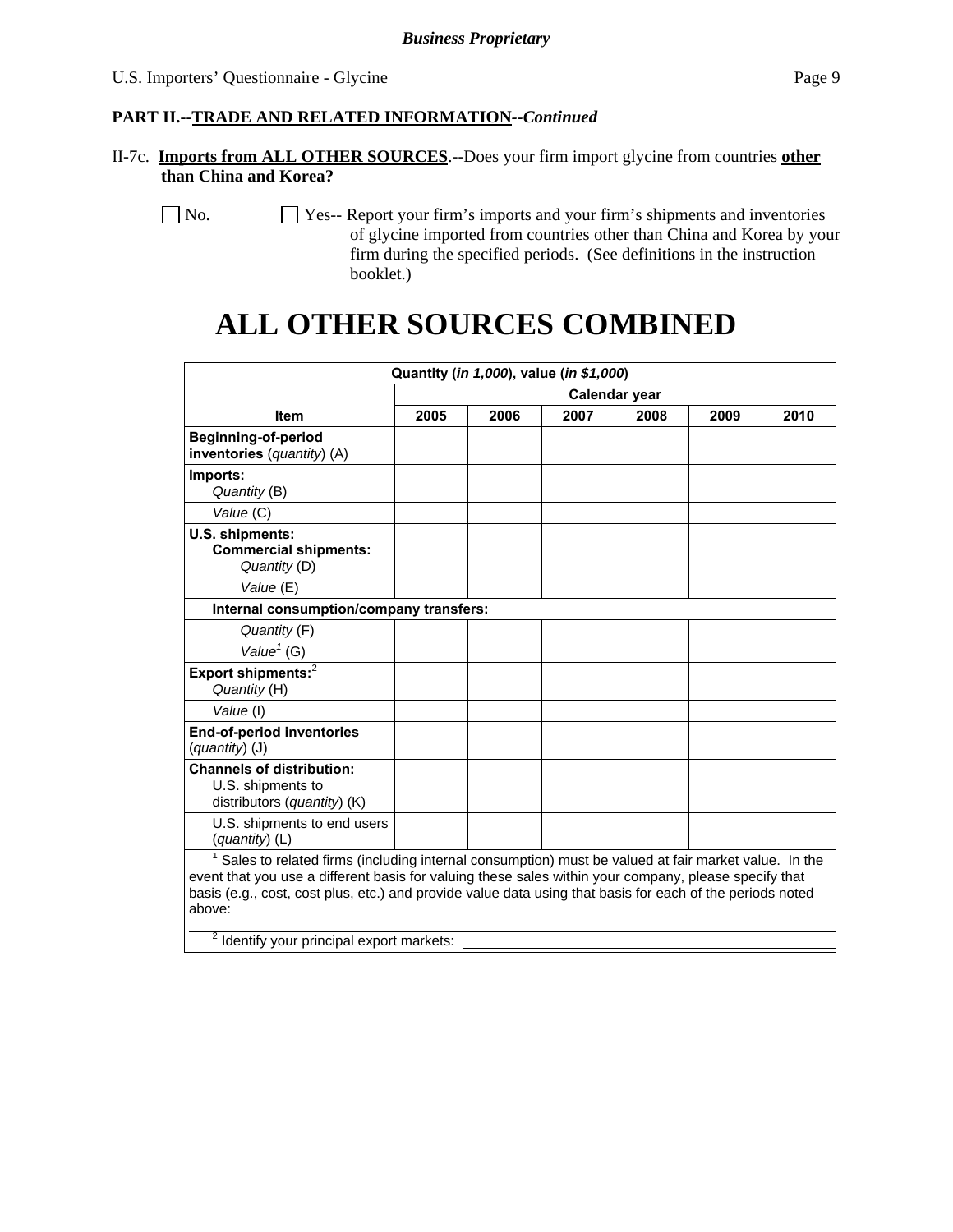#### **PART II.--TRADE AND RELATED INFORMATION***--Continued*

II-7c. **Imports from ALL OTHER SOURCES**.--Does your firm import glycine from countries **other than China and Korea?** 

 No. Yes-- Report your firm's imports and your firm's shipments and inventories of glycine imported from countries other than China and Korea by your firm during the specified periods. (See definitions in the instruction booklet.)

# **ALL OTHER SOURCES COMBINED**

|                                                                                                                                                                                                                                                                                                                                     |      | Quantity (in 1,000), value (in \$1,000) |      |               |      |      |
|-------------------------------------------------------------------------------------------------------------------------------------------------------------------------------------------------------------------------------------------------------------------------------------------------------------------------------------|------|-----------------------------------------|------|---------------|------|------|
|                                                                                                                                                                                                                                                                                                                                     |      |                                         |      | Calendar year |      |      |
| <b>Item</b>                                                                                                                                                                                                                                                                                                                         | 2005 | 2006                                    | 2007 | 2008          | 2009 | 2010 |
| <b>Beginning-of-period</b><br>inventories (quantity) (A)                                                                                                                                                                                                                                                                            |      |                                         |      |               |      |      |
| Imports:<br>Quantity (B)                                                                                                                                                                                                                                                                                                            |      |                                         |      |               |      |      |
| Value (C)                                                                                                                                                                                                                                                                                                                           |      |                                         |      |               |      |      |
| U.S. shipments:<br><b>Commercial shipments:</b><br>Quantity (D)                                                                                                                                                                                                                                                                     |      |                                         |      |               |      |      |
| Value (E)                                                                                                                                                                                                                                                                                                                           |      |                                         |      |               |      |      |
| Internal consumption/company transfers:                                                                                                                                                                                                                                                                                             |      |                                         |      |               |      |      |
| Quantity (F)                                                                                                                                                                                                                                                                                                                        |      |                                         |      |               |      |      |
| Value $1$ (G)                                                                                                                                                                                                                                                                                                                       |      |                                         |      |               |      |      |
| Export shipments: $^2$<br>Quantity (H)                                                                                                                                                                                                                                                                                              |      |                                         |      |               |      |      |
| Value (I)                                                                                                                                                                                                                                                                                                                           |      |                                         |      |               |      |      |
| <b>End-of-period inventories</b><br>$(quantity)$ (J)                                                                                                                                                                                                                                                                                |      |                                         |      |               |      |      |
| <b>Channels of distribution:</b><br>U.S. shipments to<br>distributors (quantity) (K)                                                                                                                                                                                                                                                |      |                                         |      |               |      |      |
| U.S. shipments to end users<br>$(quantity)$ (L)                                                                                                                                                                                                                                                                                     |      |                                         |      |               |      |      |
| Sales to related firms (including internal consumption) must be valued at fair market value. In the<br>event that you use a different basis for valuing these sales within your company, please specify that<br>basis (e.g., cost, cost plus, etc.) and provide value data using that basis for each of the periods noted<br>above: |      |                                         |      |               |      |      |
| <sup>2</sup> Identify your principal export markets:                                                                                                                                                                                                                                                                                |      |                                         |      |               |      |      |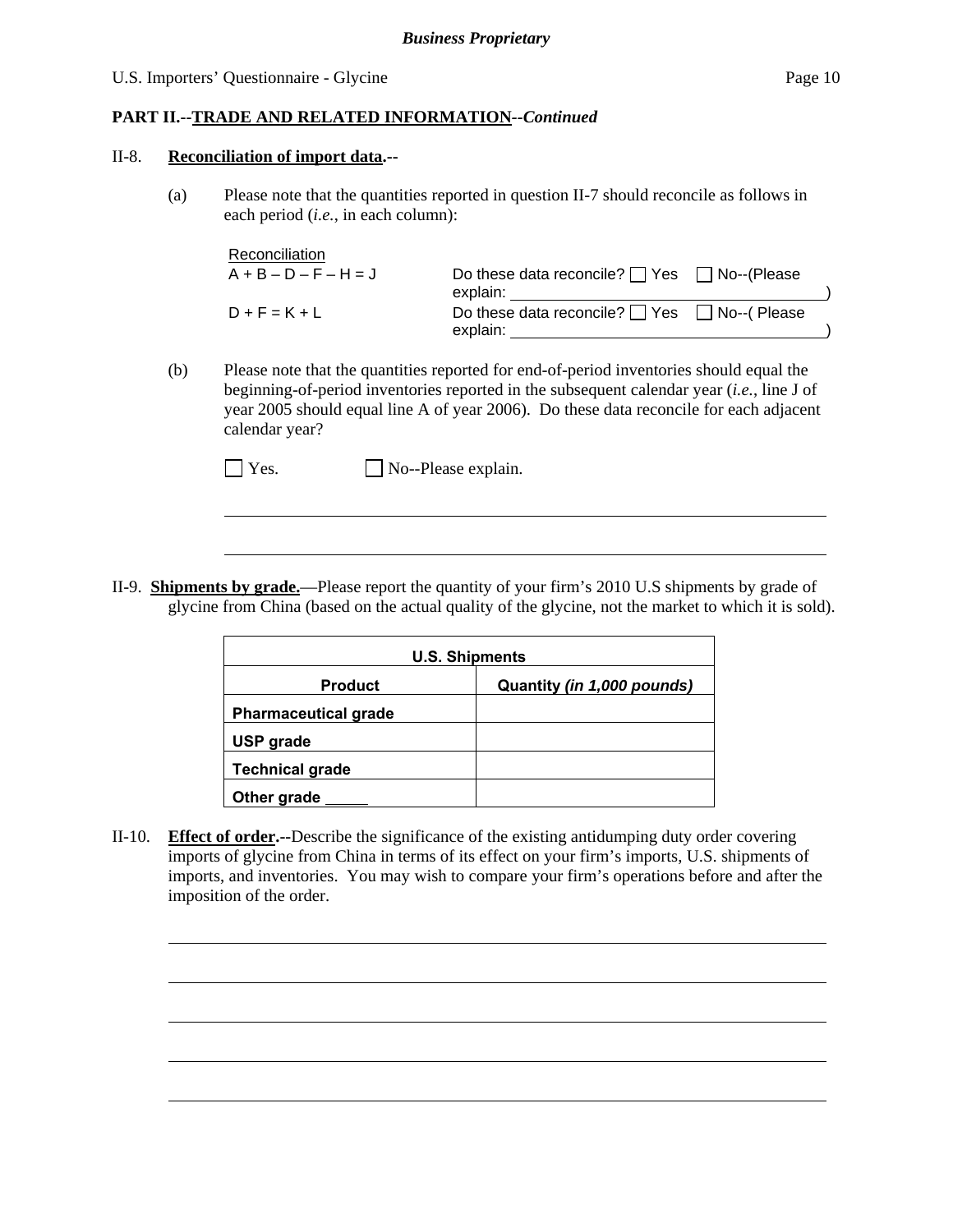#### U.S. Importers' Questionnaire - Glycine Page 10

#### **PART II.--TRADE AND RELATED INFORMATION***--Continued*

#### II-8. **Reconciliation of import data.--**

l

l

(a) Please note that the quantities reported in question II-7 should reconcile as follows in each period (*i.e.*, in each column):

| Reconciliation          |                                                        |  |
|-------------------------|--------------------------------------------------------|--|
| $A + B - D - F - H = J$ | Do these data reconcile? $\Box$ Yes $\Box$ No--(Please |  |
|                         | explain:                                               |  |
| $D + F = K + L$         | Do these data reconcile? $\Box$ Yes $\Box$ No--(Please |  |
|                         | explain:                                               |  |

(b) Please note that the quantities reported for end-of-period inventories should equal the beginning-of-period inventories reported in the subsequent calendar year (*i.e.*, line J of year 2005 should equal line A of year 2006). Do these data reconcile for each adjacent calendar year?

| $\Box$ Yes. | $\Box$ No--Please explain. |
|-------------|----------------------------|
|-------------|----------------------------|

II-9. **Shipments by grade.**—Please report the quantity of your firm's 2010 U.S shipments by grade of glycine from China (based on the actual quality of the glycine, not the market to which it is sold).

| <b>U.S. Shipments</b>       |                            |  |  |  |
|-----------------------------|----------------------------|--|--|--|
| <b>Product</b>              | Quantity (in 1,000 pounds) |  |  |  |
| <b>Pharmaceutical grade</b> |                            |  |  |  |
| USP grade                   |                            |  |  |  |
| <b>Technical grade</b>      |                            |  |  |  |
| Other grade                 |                            |  |  |  |

II-10. **Effect of order.--**Describe the significance of the existing antidumping duty order covering imports of glycine from China in terms of its effect on your firm's imports, U.S. shipments of imports, and inventories. You may wish to compare your firm's operations before and after the imposition of the order.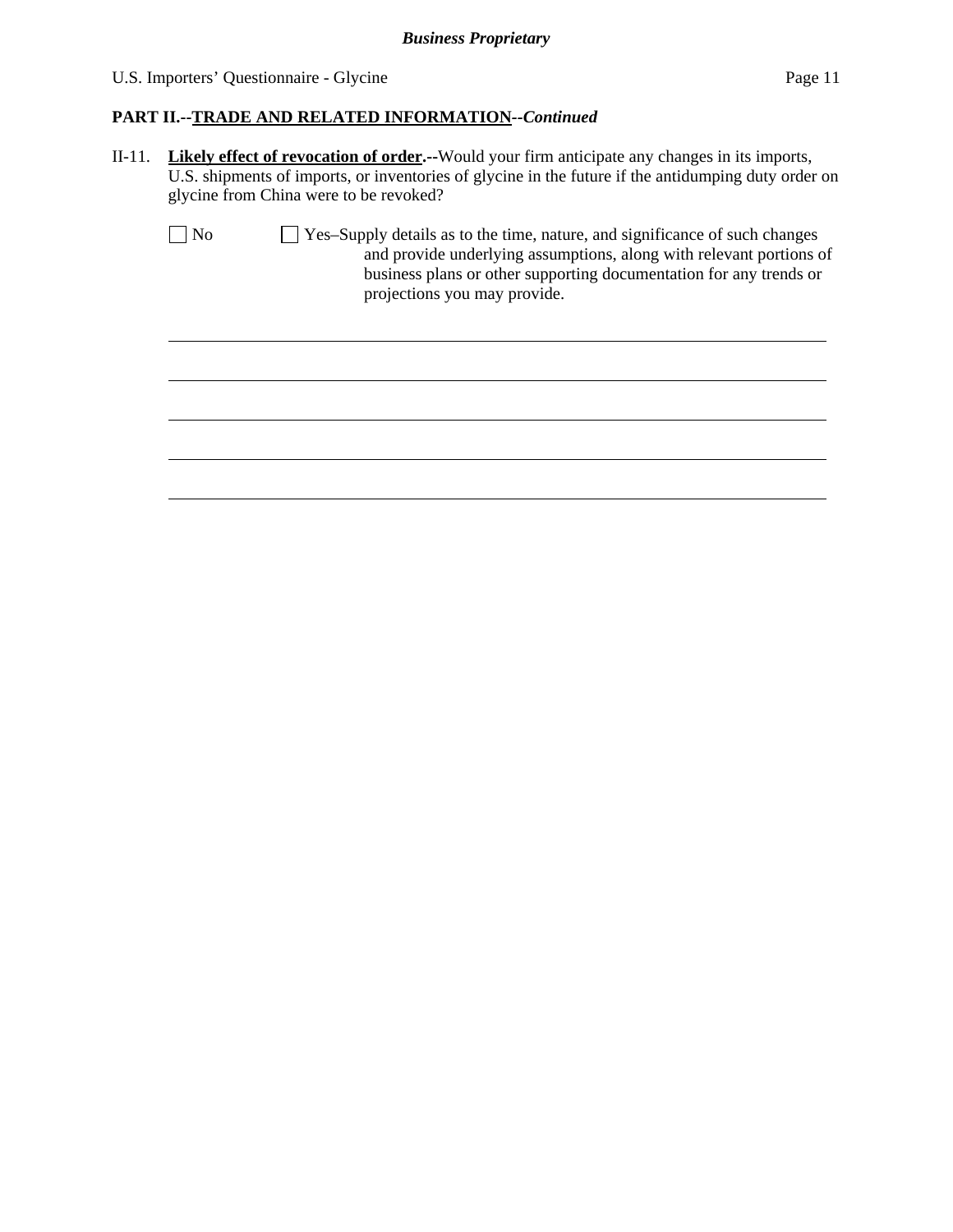$\overline{a}$ 

### **PART II.--TRADE AND RELATED INFORMATION***--Continued*

II-11. **Likely effect of revocation of order.--**Would your firm anticipate any changes in its imports, U.S. shipments of imports, or inventories of glycine in the future if the antidumping duty order on glycine from China were to be revoked?

| $\vert$   No | $\Box$ Yes-Supply details as to the time, nature, and significance of such changes |
|--------------|------------------------------------------------------------------------------------|
|              | and provide underlying assumptions, along with relevant portions of                |
|              | business plans or other supporting documentation for any trends or                 |
|              | projections you may provide.                                                       |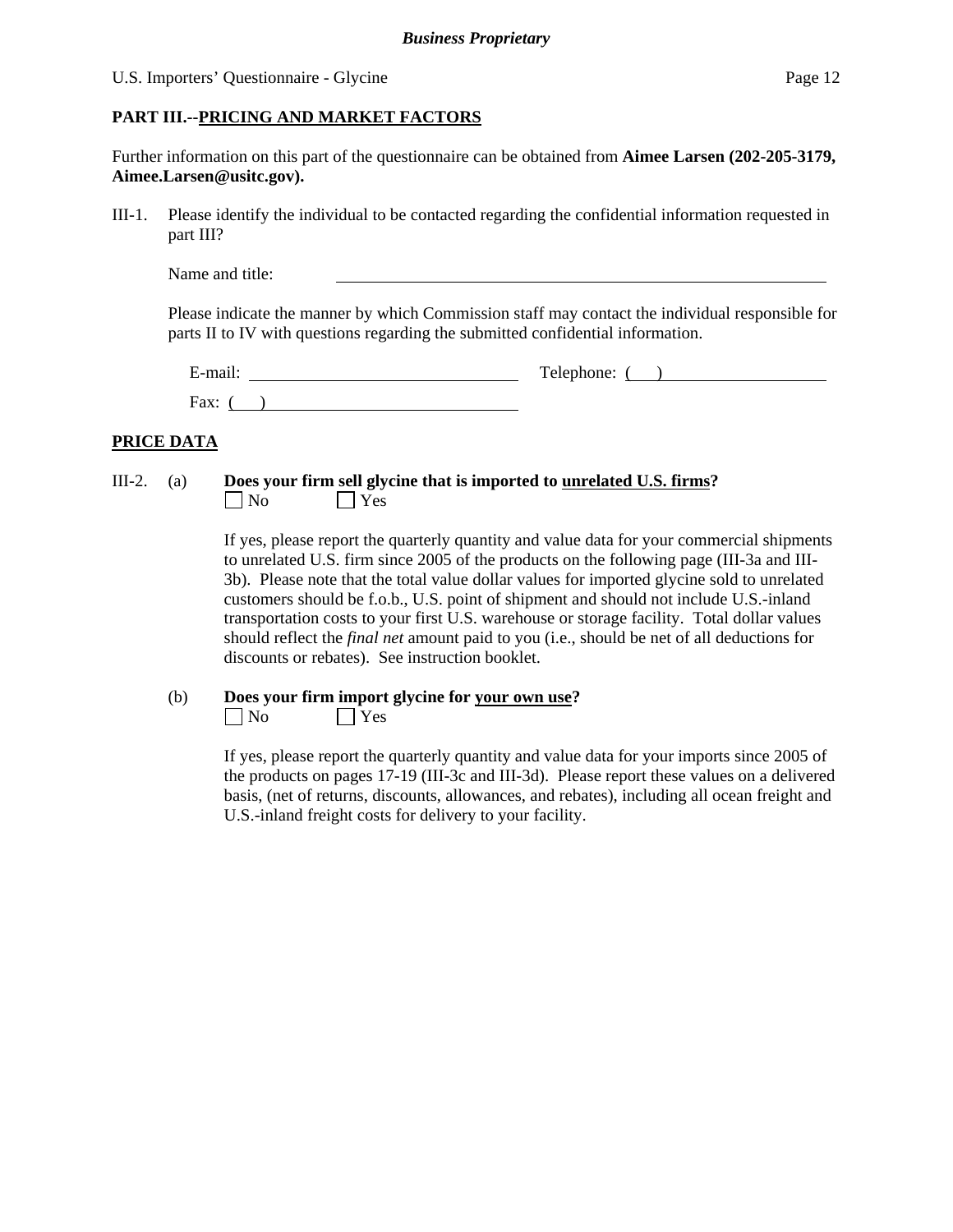#### U.S. Importers' Questionnaire - Glycine Page 12

#### **PART III.--PRICING AND MARKET FACTORS**

Further information on this part of the questionnaire can be obtained from **Aimee Larsen (202-205-3179, Aimee.Larsen@usitc.gov).** 

III-1. Please identify the individual to be contacted regarding the confidential information requested in part III?

Please indicate the manner by which Commission staff may contact the individual responsible for parts II to IV with questions regarding the submitted confidential information.

| $\sim$<br>d-mail:<br>- | Telephone: |
|------------------------|------------|
| Fax:                   |            |

#### **PRICE DATA**

#### III-2. (a) **Does your firm sell glycine that is imported to unrelated U.S. firms?**  No Yes

If yes, please report the quarterly quantity and value data for your commercial shipments to unrelated U.S. firm since 2005 of the products on the following page (III-3a and III-3b). Please note that the total value dollar values for imported glycine sold to unrelated customers should be f.o.b., U.S. point of shipment and should not include U.S.-inland transportation costs to your first U.S. warehouse or storage facility. Total dollar values should reflect the *final net* amount paid to you (i.e., should be net of all deductions for discounts or rebates). See instruction booklet.

### (b) **Does your firm import glycine for your own use?**

 $\Box$  No  $\Box$  Yes

If yes, please report the quarterly quantity and value data for your imports since 2005 of the products on pages 17-19 (III-3c and III-3d). Please report these values on a delivered basis, (net of returns, discounts, allowances, and rebates), including all ocean freight and U.S.-inland freight costs for delivery to your facility.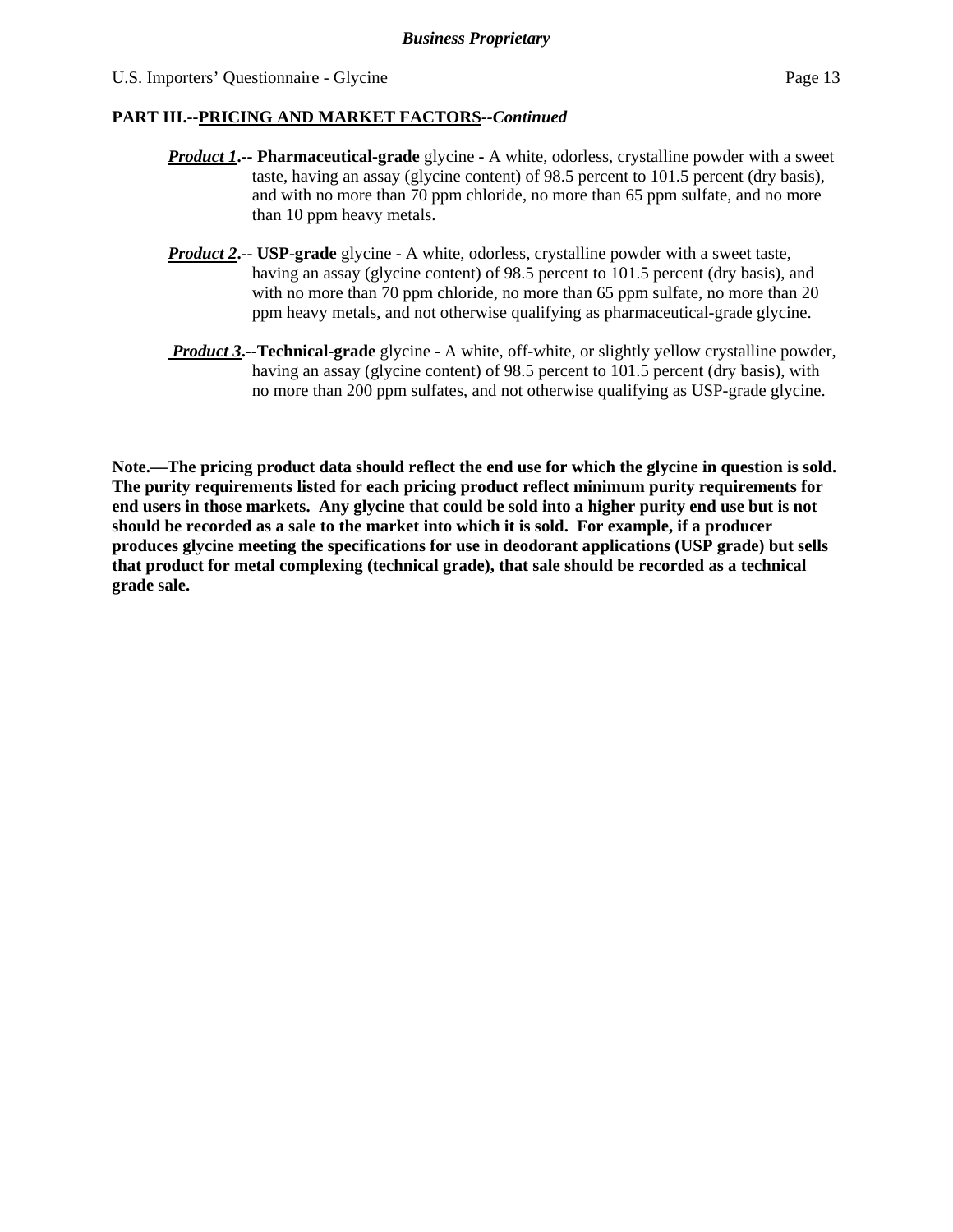- *Product 1***.-- Pharmaceutical-grade** glycineA white, odorless, crystalline powder with a sweet taste, having an assay (glycine content) of 98.5 percent to 101.5 percent (dry basis), and with no more than 70 ppm chloride, no more than 65 ppm sulfate, and no more than 10 ppm heavy metals.
- *Product 2***.-- USP-grade** glycineA white, odorless, crystalline powder with a sweet taste, having an assay (glycine content) of 98.5 percent to 101.5 percent (dry basis), and with no more than 70 ppm chloride, no more than 65 ppm sulfate, no more than 20 ppm heavy metals, and not otherwise qualifying as pharmaceutical-grade glycine.
- *Product 3***.--Technical-grade** glycine **-** A white, off-white, or slightly yellow crystalline powder, having an assay (glycine content) of 98.5 percent to 101.5 percent (dry basis), with no more than 200 ppm sulfates, and not otherwise qualifying as USP-grade glycine.

**Note.—The pricing product data should reflect the end use for which the glycine in question is sold. The purity requirements listed for each pricing product reflect minimum purity requirements for end users in those markets. Any glycine that could be sold into a higher purity end use but is not should be recorded as a sale to the market into which it is sold. For example, if a producer produces glycine meeting the specifications for use in deodorant applications (USP grade) but sells that product for metal complexing (technical grade), that sale should be recorded as a technical grade sale.**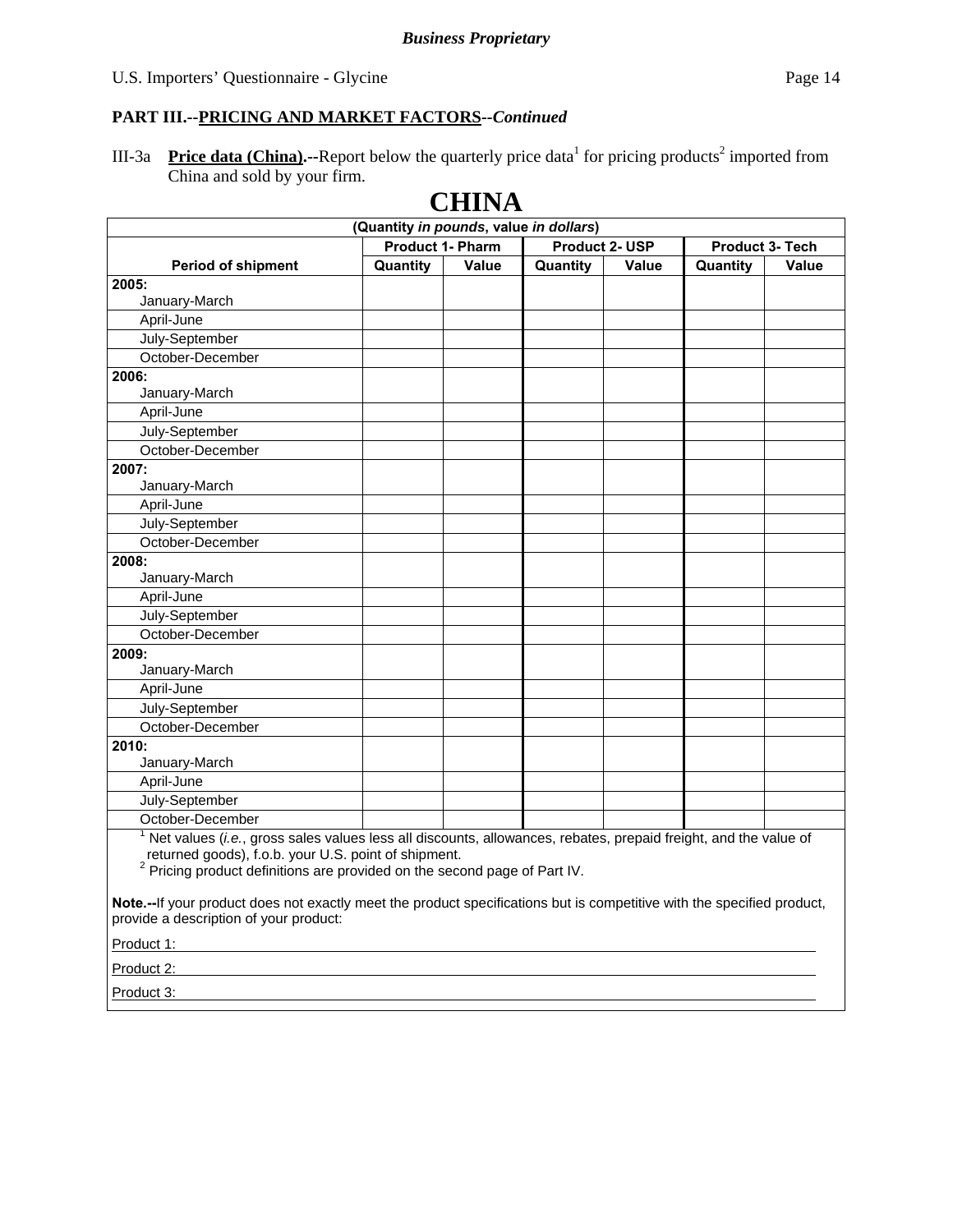III-3a **Price data (China).**--Report below the quarterly price data for pricing products<sup>2</sup> imported from China and sold by your firm.

## **CHINA**

| (Quantity in pounds, value in dollars) |                         |              |                |              |                        |       |
|----------------------------------------|-------------------------|--------------|----------------|--------------|------------------------|-------|
|                                        | <b>Product 1- Pharm</b> |              | Product 2- USP |              | <b>Product 3- Tech</b> |       |
| <b>Period of shipment</b>              | Quantity                | <b>Value</b> | Quantity       | <b>Value</b> | Quantity               | Value |
| 2005:                                  |                         |              |                |              |                        |       |
| January-March                          |                         |              |                |              |                        |       |
| April-June                             |                         |              |                |              |                        |       |
| July-September                         |                         |              |                |              |                        |       |
| October-December                       |                         |              |                |              |                        |       |
| 2006:                                  |                         |              |                |              |                        |       |
| January-March                          |                         |              |                |              |                        |       |
| April-June                             |                         |              |                |              |                        |       |
| July-September                         |                         |              |                |              |                        |       |
| October-December                       |                         |              |                |              |                        |       |
| 2007:                                  |                         |              |                |              |                        |       |
| January-March                          |                         |              |                |              |                        |       |
| April-June                             |                         |              |                |              |                        |       |
| July-September                         |                         |              |                |              |                        |       |
| October-December                       |                         |              |                |              |                        |       |
| 2008:                                  |                         |              |                |              |                        |       |
| January-March                          |                         |              |                |              |                        |       |
| April-June                             |                         |              |                |              |                        |       |
| July-September                         |                         |              |                |              |                        |       |
| October-December                       |                         |              |                |              |                        |       |
| 2009:                                  |                         |              |                |              |                        |       |
| January-March                          |                         |              |                |              |                        |       |
| April-June                             |                         |              |                |              |                        |       |
| July-September                         |                         |              |                |              |                        |       |
| October-December                       |                         |              |                |              |                        |       |
| 2010:                                  |                         |              |                |              |                        |       |
| January-March                          |                         |              |                |              |                        |       |
| April-June                             |                         |              |                |              |                        |       |
| July-September                         |                         |              |                |              |                        |       |
| October-December                       |                         |              |                |              |                        |       |
|                                        |                         |              |                |              |                        |       |

<sup>1</sup> Net values (*i.e.*, gross sales values less all discounts, allowances, rebates, prepaid freight, and the value of

returned goods), f.o.b. your U.S. point of shipment.<br><sup>2</sup> Pricing product definitions are provided on the second page of Part IV.

**Note.--**If your product does not exactly meet the product specifications but is competitive with the specified product, provide a description of your product:

Product 1:

Product 2: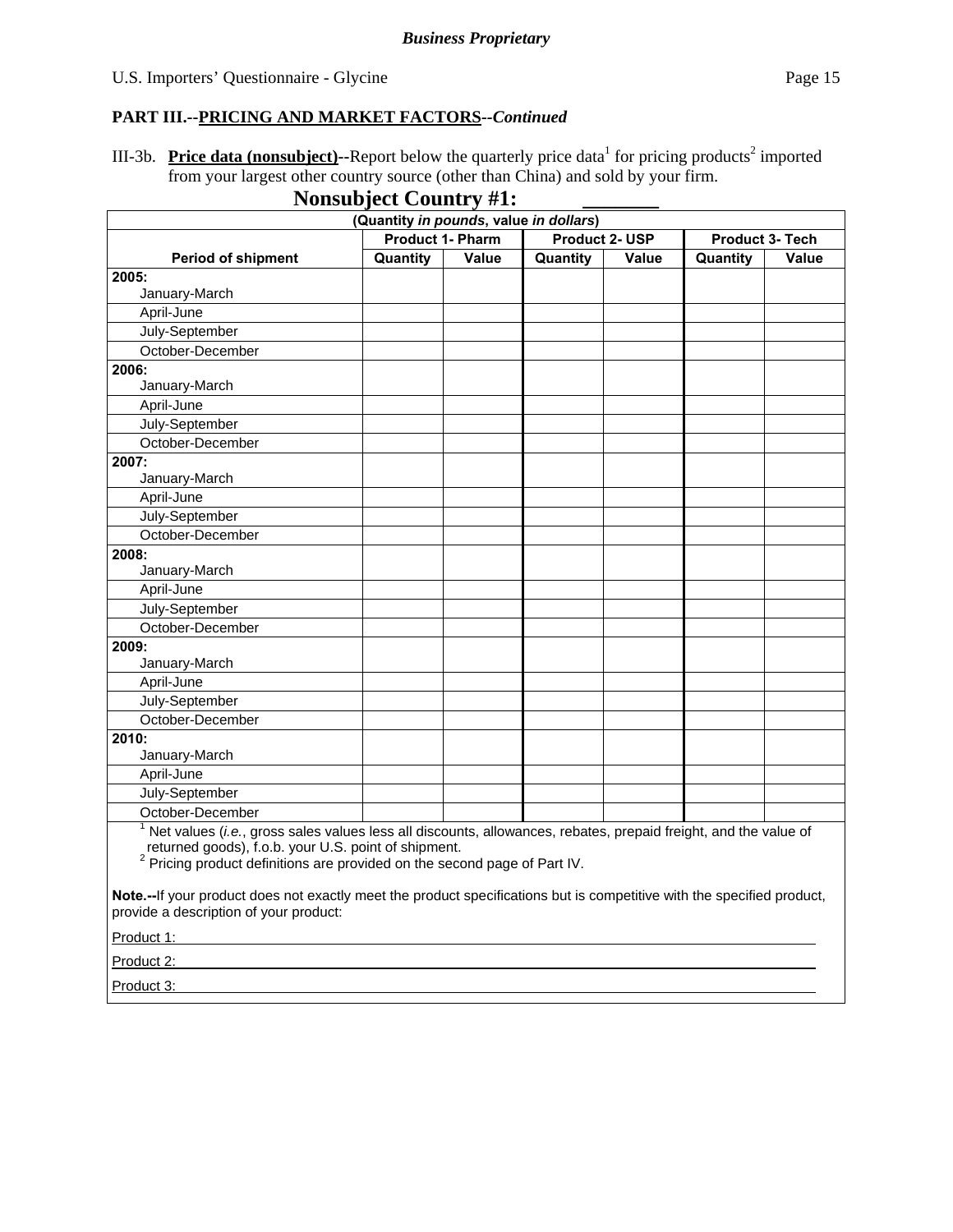III-3b. Price data (nonsubject)--Report below the quarterly price data<sup>1</sup> for pricing products<sup>2</sup> imported from your largest other country source (other than China) and sold by your firm.

**Nonsubject Country #1:** 

| (Quantity in pounds, value in dollars)                                                                                                                               |          |       |          |       |          |       |  |
|----------------------------------------------------------------------------------------------------------------------------------------------------------------------|----------|-------|----------|-------|----------|-------|--|
| <b>Product 1- Pharm</b><br><b>Product 2- USP</b><br>Product 3- Tech                                                                                                  |          |       |          |       |          |       |  |
| <b>Period of shipment</b>                                                                                                                                            | Quantity | Value | Quantity | Value | Quantity | Value |  |
| 2005:                                                                                                                                                                |          |       |          |       |          |       |  |
| January-March                                                                                                                                                        |          |       |          |       |          |       |  |
| April-June                                                                                                                                                           |          |       |          |       |          |       |  |
| July-September                                                                                                                                                       |          |       |          |       |          |       |  |
| October-December                                                                                                                                                     |          |       |          |       |          |       |  |
| 2006:                                                                                                                                                                |          |       |          |       |          |       |  |
| January-March                                                                                                                                                        |          |       |          |       |          |       |  |
| April-June                                                                                                                                                           |          |       |          |       |          |       |  |
| July-September                                                                                                                                                       |          |       |          |       |          |       |  |
| October-December                                                                                                                                                     |          |       |          |       |          |       |  |
| 2007:                                                                                                                                                                |          |       |          |       |          |       |  |
| January-March                                                                                                                                                        |          |       |          |       |          |       |  |
| April-June                                                                                                                                                           |          |       |          |       |          |       |  |
| July-September                                                                                                                                                       |          |       |          |       |          |       |  |
| October-December                                                                                                                                                     |          |       |          |       |          |       |  |
| 2008:                                                                                                                                                                |          |       |          |       |          |       |  |
| January-March                                                                                                                                                        |          |       |          |       |          |       |  |
| April-June                                                                                                                                                           |          |       |          |       |          |       |  |
| July-September                                                                                                                                                       |          |       |          |       |          |       |  |
| October-December                                                                                                                                                     |          |       |          |       |          |       |  |
| 2009:                                                                                                                                                                |          |       |          |       |          |       |  |
| January-March                                                                                                                                                        |          |       |          |       |          |       |  |
| April-June                                                                                                                                                           |          |       |          |       |          |       |  |
| July-September                                                                                                                                                       |          |       |          |       |          |       |  |
| October-December                                                                                                                                                     |          |       |          |       |          |       |  |
| 2010:                                                                                                                                                                |          |       |          |       |          |       |  |
| January-March                                                                                                                                                        |          |       |          |       |          |       |  |
| April-June                                                                                                                                                           |          |       |          |       |          |       |  |
| July-September                                                                                                                                                       |          |       |          |       |          |       |  |
| October-December                                                                                                                                                     |          |       |          |       |          |       |  |
| Net values (i.e., gross sales values less all discounts, allowances, rebates, prepaid freight, and the value of<br>returned goods) f o b your U.S. point of shipment |          |       |          |       |          |       |  |

returned goods), f.o.b. your U.S. point of shipment.<br><sup>2</sup> Pricing product definitions are provided on the second page of Part IV.

**Note.--**If your product does not exactly meet the product specifications but is competitive with the specified product, provide a description of your product:

Product 1:

Product 2: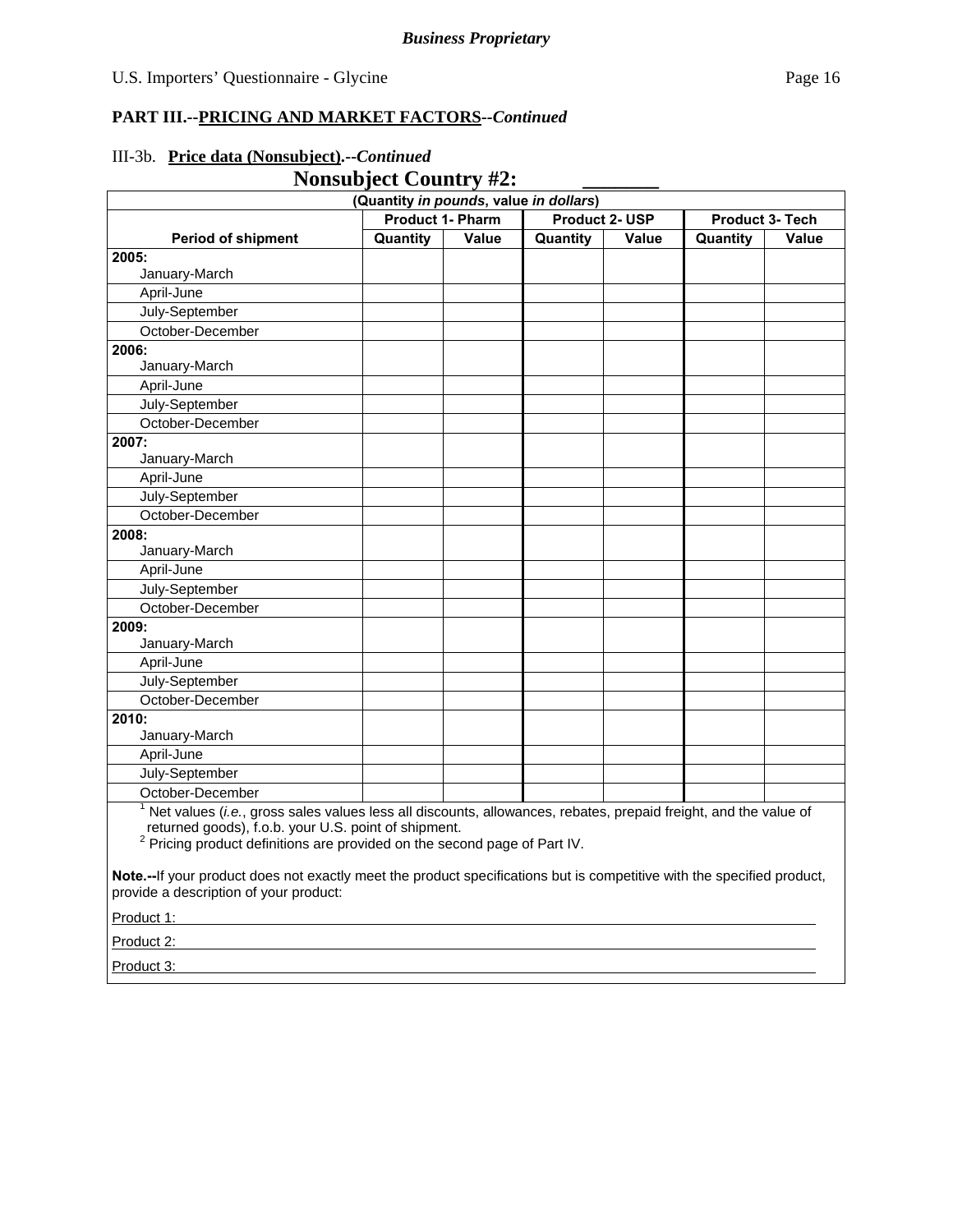#### **Nonsubject Country #2: (Quantity** *in pounds***, value** *in dollars***) Period of shipment Product 1- Pharm Product 2- USP Product 3- Tech Quantity Value Quantity Value Quantity Value 2005:**  January-March April-June July-September October-December **2006:**  January-March April-June July-September October-December **2007:**  January-March April-June July-September October-December **2008:**  January-March April-June July-September October-December **2009:**  January-March April-June July-September October-December **2010:**  January-March April-June July-September October-December <sup>1</sup> Net values (*i.e.*, gross sales values less all discounts, allowances, rebates, prepaid freight, and the value of returned goods), f.o.b. your U.S. point of shipment.<br><sup>2</sup> Pricing product definitions are provided on the second page of Part IV.

#### III-3b. **Price data (Nonsubject).--***Continued*

**Note.--**If your product does not exactly meet the product specifications but is competitive with the specified product, provide a description of your product:

Product 1:

Product 2: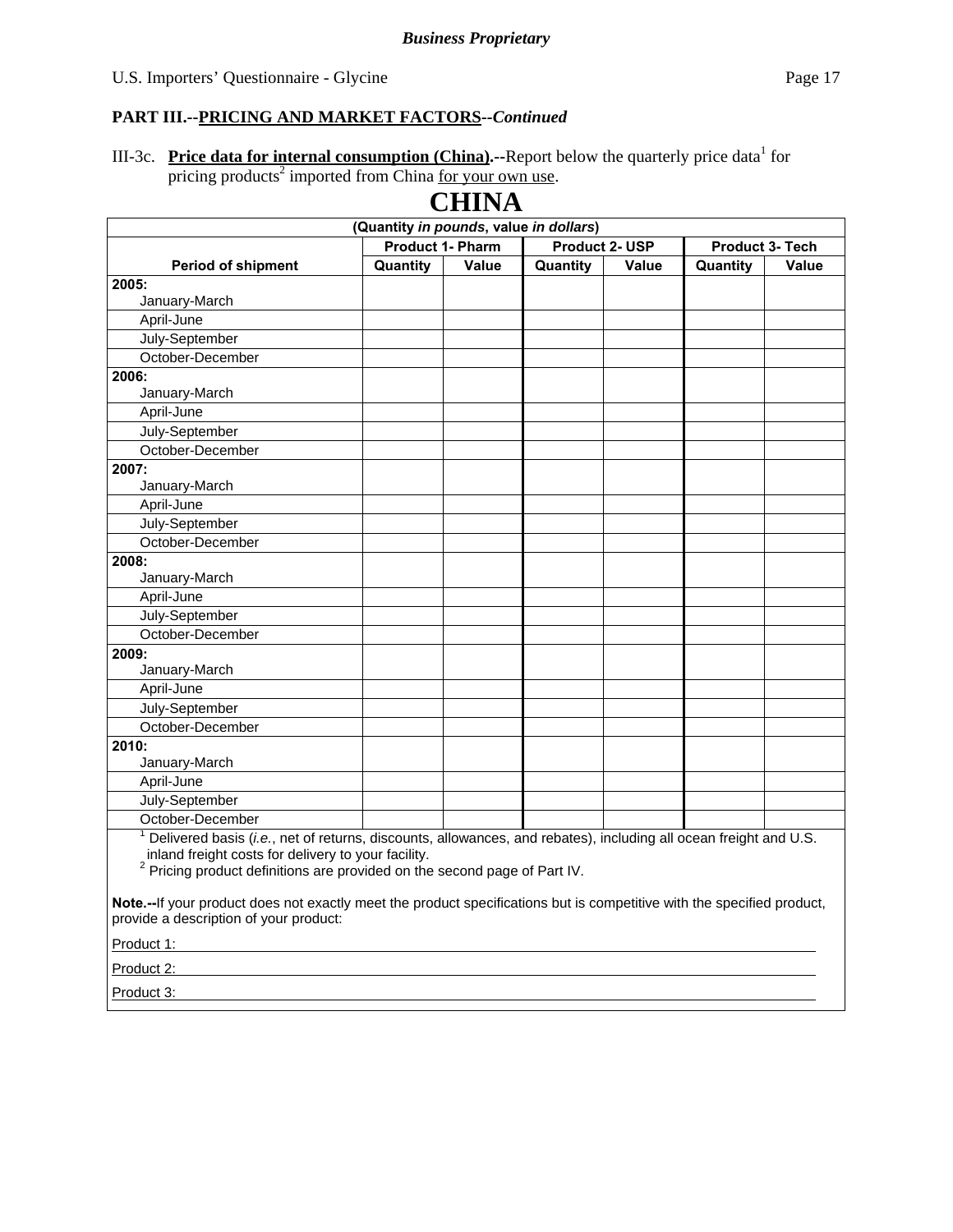#### III-3c. Price data for internal consumption (China).--Report below the quarterly price data<sup>1</sup> for pricing products<sup>2</sup> imported from China for your own use.

| <b>CHINA</b>                                                                                                                 |                         |       |                       |              |                 |              |
|------------------------------------------------------------------------------------------------------------------------------|-------------------------|-------|-----------------------|--------------|-----------------|--------------|
| (Quantity in pounds, value in dollars)                                                                                       |                         |       |                       |              |                 |              |
|                                                                                                                              | <b>Product 1- Pharm</b> |       | <b>Product 2- USP</b> |              | Product 3- Tech |              |
| <b>Period of shipment</b>                                                                                                    | Quantity                | Value | Quantity              | <b>Value</b> | Quantity        | <b>Value</b> |
| 2005:                                                                                                                        |                         |       |                       |              |                 |              |
| January-March                                                                                                                |                         |       |                       |              |                 |              |
| April-June                                                                                                                   |                         |       |                       |              |                 |              |
| July-September                                                                                                               |                         |       |                       |              |                 |              |
| October-December                                                                                                             |                         |       |                       |              |                 |              |
| 2006:                                                                                                                        |                         |       |                       |              |                 |              |
| January-March                                                                                                                |                         |       |                       |              |                 |              |
| April-June                                                                                                                   |                         |       |                       |              |                 |              |
| July-September                                                                                                               |                         |       |                       |              |                 |              |
| October-December                                                                                                             |                         |       |                       |              |                 |              |
| 2007:                                                                                                                        |                         |       |                       |              |                 |              |
| January-March                                                                                                                |                         |       |                       |              |                 |              |
| April-June                                                                                                                   |                         |       |                       |              |                 |              |
| July-September                                                                                                               |                         |       |                       |              |                 |              |
| October-December                                                                                                             |                         |       |                       |              |                 |              |
| 2008:                                                                                                                        |                         |       |                       |              |                 |              |
| January-March                                                                                                                |                         |       |                       |              |                 |              |
| April-June                                                                                                                   |                         |       |                       |              |                 |              |
| July-September                                                                                                               |                         |       |                       |              |                 |              |
| October-December                                                                                                             |                         |       |                       |              |                 |              |
| 2009:                                                                                                                        |                         |       |                       |              |                 |              |
| January-March                                                                                                                |                         |       |                       |              |                 |              |
| April-June                                                                                                                   |                         |       |                       |              |                 |              |
| July-September                                                                                                               |                         |       |                       |              |                 |              |
| October-December                                                                                                             |                         |       |                       |              |                 |              |
| 2010:                                                                                                                        |                         |       |                       |              |                 |              |
| January-March                                                                                                                |                         |       |                       |              |                 |              |
| April-June                                                                                                                   |                         |       |                       |              |                 |              |
| July-September                                                                                                               |                         |       |                       |              |                 |              |
| October-December                                                                                                             |                         |       |                       |              |                 |              |
| <sup>1</sup> Dolivered basis (i.e., not of returns, discounts, allowances, and rebates), including all ocean freight and LLS |                         |       |                       |              |                 |              |

**CHINA** 

 Delivered basis (*i.e.*, net of returns, discounts, allowances, and rebates), including all ocean freight and U.S. inland freight costs for delivery to your facility.

 $2$  Pricing product definitions are provided on the second page of Part IV.

**Note.--**If your product does not exactly meet the product specifications but is competitive with the specified product, provide a description of your product:

Product 1:

Product 2: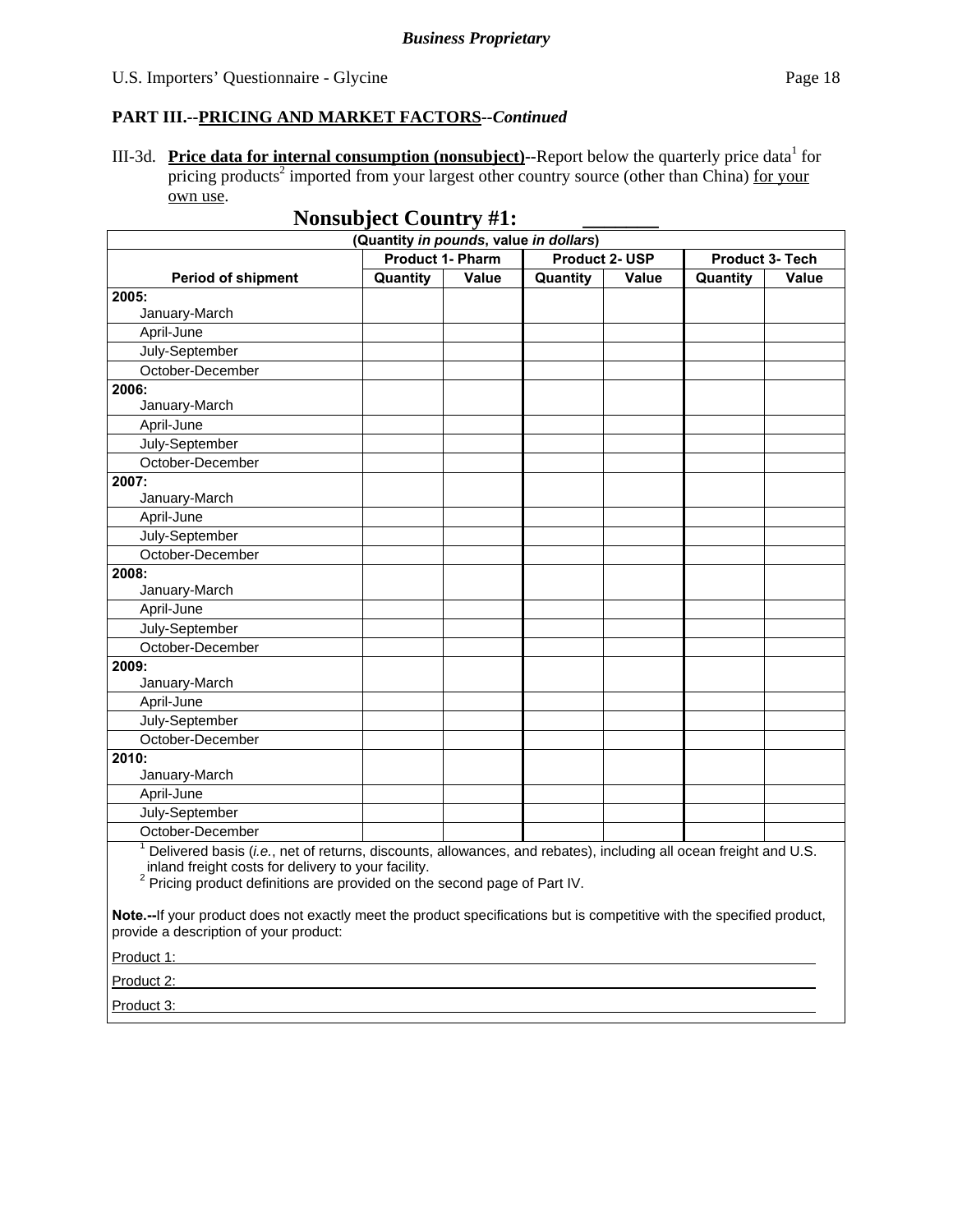#### U.S. Importers' Questionnaire - Glycine Page 18

#### **PART III.--PRICING AND MARKET FACTORS***--Continued*

III-3d. Price data for internal consumption (nonsubject)--Report below the quarterly price data<sup>1</sup> for pricing products<sup>2</sup> imported from your largest other country source (other than China) for your own use.

|                                                                            | (Quantity in pounds, value in dollars) |       |          |              |          |       |
|----------------------------------------------------------------------------|----------------------------------------|-------|----------|--------------|----------|-------|
| <b>Product 1- Pharm</b><br><b>Product 2- USP</b><br><b>Product 3- Tech</b> |                                        |       |          |              |          |       |
| <b>Period of shipment</b>                                                  | Quantity                               | Value | Quantity | <b>Value</b> | Quantity | Value |
| 2005:                                                                      |                                        |       |          |              |          |       |
| January-March                                                              |                                        |       |          |              |          |       |
| April-June                                                                 |                                        |       |          |              |          |       |
| July-September                                                             |                                        |       |          |              |          |       |
| October-December                                                           |                                        |       |          |              |          |       |
| 2006:                                                                      |                                        |       |          |              |          |       |
| January-March                                                              |                                        |       |          |              |          |       |
| April-June                                                                 |                                        |       |          |              |          |       |
| July-September                                                             |                                        |       |          |              |          |       |
| October-December                                                           |                                        |       |          |              |          |       |
| 2007:                                                                      |                                        |       |          |              |          |       |
| January-March                                                              |                                        |       |          |              |          |       |
| April-June                                                                 |                                        |       |          |              |          |       |
| July-September                                                             |                                        |       |          |              |          |       |
| October-December                                                           |                                        |       |          |              |          |       |
| 2008:                                                                      |                                        |       |          |              |          |       |
| January-March                                                              |                                        |       |          |              |          |       |
| April-June                                                                 |                                        |       |          |              |          |       |
| July-September                                                             |                                        |       |          |              |          |       |
| October-December                                                           |                                        |       |          |              |          |       |
| 2009:                                                                      |                                        |       |          |              |          |       |
| January-March                                                              |                                        |       |          |              |          |       |
| April-June                                                                 |                                        |       |          |              |          |       |
| July-September                                                             |                                        |       |          |              |          |       |
| October-December                                                           |                                        |       |          |              |          |       |
| 2010:                                                                      |                                        |       |          |              |          |       |
| January-March                                                              |                                        |       |          |              |          |       |
| April-June                                                                 |                                        |       |          |              |          |       |
| July-September                                                             |                                        |       |          |              |          |       |
| October-December                                                           |                                        |       |          |              |          |       |

**Note.--**If your product does not exactly meet the product specifications but is competitive with the specified product,

provide a description of your product:

Product 1:

Product 2: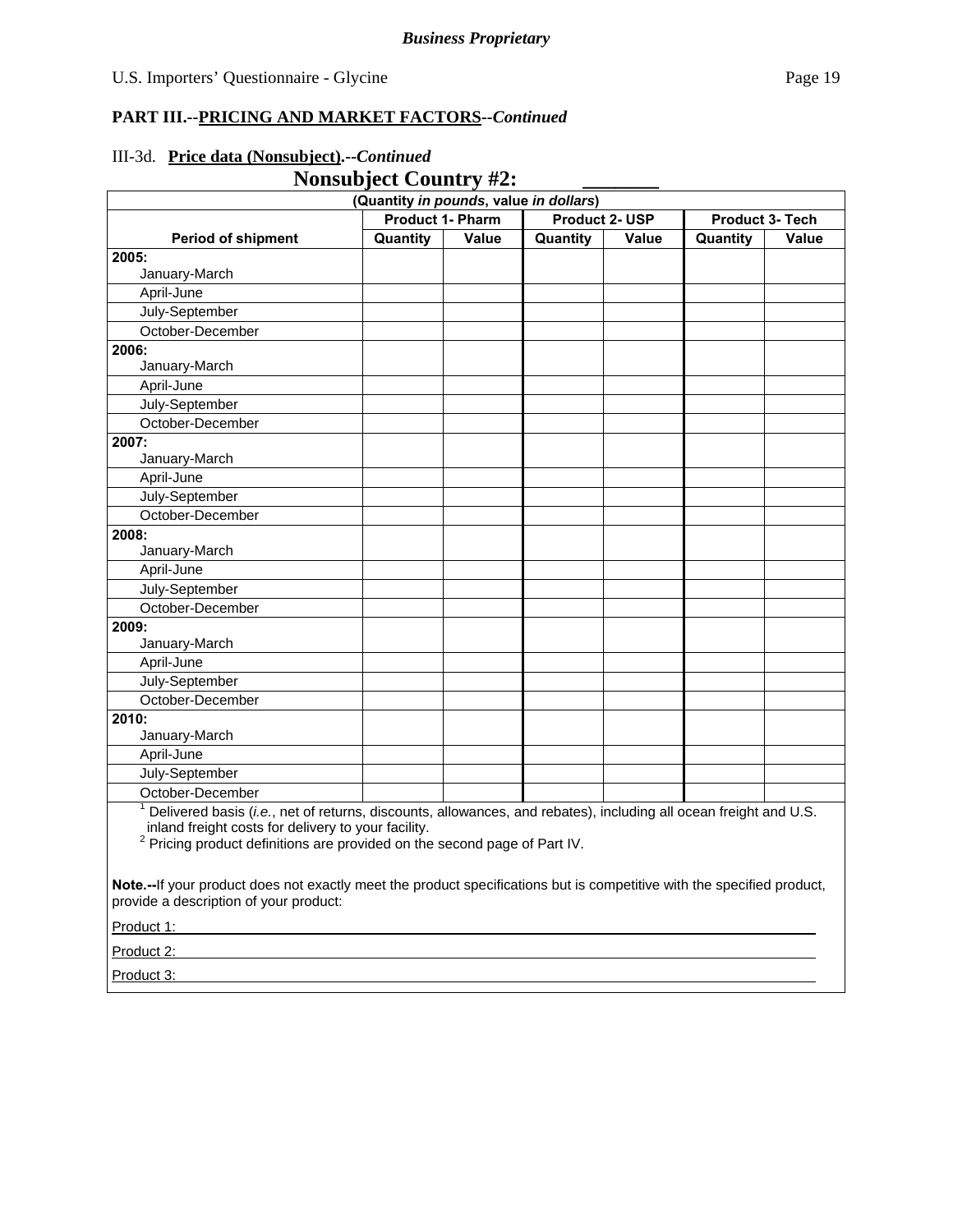#### **Nonsubject Country #2: (Quantity** *in pounds***, value** *in dollars***) Period of shipment Product 1- Pharm Product 2- USP Product 3- Tech Quantity Value Quantity Value Quantity Value 2005:**  January-March April-June July-September October-December **2006:**  January-March April-June July-September October-December **2007:**  January-March April-June July-September October-December **2008:**  January-March April-June

## III-3d. **Price data (Nonsubject).--***Continued*

<sup>1</sup> Delivered basis (*i.e.*, net of returns, discounts, allowances, and rebates), including all ocean freight and U.S.

inland freight costs for delivery to your facility. 2 Pricing product definitions are provided on the second page of Part IV.

**Note.--**If your product does not exactly meet the product specifications but is competitive with the specified product, provide a description of your product:

Product 1:

July-September October-December

January-March April-June July-September October-December

January-March April-June July-September October-December

**2009:** 

**2010:** 

Product 2: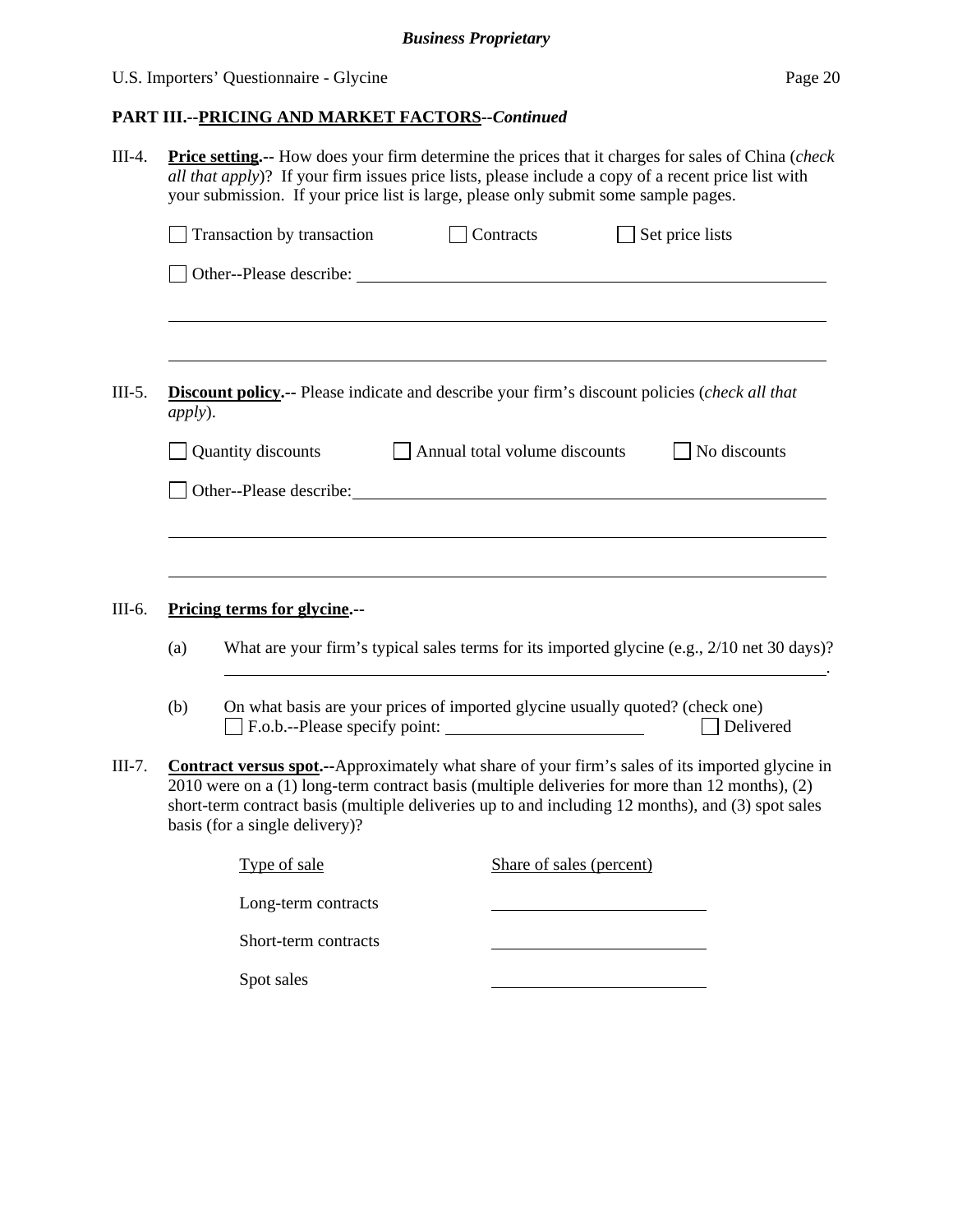## U.S. Importers' Questionnaire - Glycine Page 20

| $III-4.$ | <b>Price setting.</b> -- How does your firm determine the prices that it charges for sales of China (check<br>all that apply)? If your firm issues price lists, please include a copy of a recent price list with<br>your submission. If your price list is large, please only submit some sample pages. |                                                                                                                                                                                                                               |                                      |                                                                                                                                                                                                                                                                                                                |  |  |  |  |  |
|----------|----------------------------------------------------------------------------------------------------------------------------------------------------------------------------------------------------------------------------------------------------------------------------------------------------------|-------------------------------------------------------------------------------------------------------------------------------------------------------------------------------------------------------------------------------|--------------------------------------|----------------------------------------------------------------------------------------------------------------------------------------------------------------------------------------------------------------------------------------------------------------------------------------------------------------|--|--|--|--|--|
|          |                                                                                                                                                                                                                                                                                                          | Transaction by transaction                                                                                                                                                                                                    | Contracts                            | Set price lists                                                                                                                                                                                                                                                                                                |  |  |  |  |  |
|          |                                                                                                                                                                                                                                                                                                          |                                                                                                                                                                                                                               |                                      |                                                                                                                                                                                                                                                                                                                |  |  |  |  |  |
| $III-5.$ | <i>apply</i> ).                                                                                                                                                                                                                                                                                          |                                                                                                                                                                                                                               |                                      | Discount policy.-- Please indicate and describe your firm's discount policies (check all that                                                                                                                                                                                                                  |  |  |  |  |  |
|          |                                                                                                                                                                                                                                                                                                          | Quantity discounts                                                                                                                                                                                                            | $\Box$ Annual total volume discounts | No discounts                                                                                                                                                                                                                                                                                                   |  |  |  |  |  |
|          |                                                                                                                                                                                                                                                                                                          | Other--Please describe: University of the set of the set of the set of the set of the set of the set of the set of the set of the set of the set of the set of the set of the set of the set of the set of the set of the set |                                      |                                                                                                                                                                                                                                                                                                                |  |  |  |  |  |
|          |                                                                                                                                                                                                                                                                                                          |                                                                                                                                                                                                                               |                                      |                                                                                                                                                                                                                                                                                                                |  |  |  |  |  |
|          |                                                                                                                                                                                                                                                                                                          |                                                                                                                                                                                                                               |                                      |                                                                                                                                                                                                                                                                                                                |  |  |  |  |  |
| III-6.   |                                                                                                                                                                                                                                                                                                          | Pricing terms for glycine.--                                                                                                                                                                                                  |                                      |                                                                                                                                                                                                                                                                                                                |  |  |  |  |  |
|          | What are your firm's typical sales terms for its imported glycine (e.g., 2/10 net 30 days)?<br>(a)                                                                                                                                                                                                       |                                                                                                                                                                                                                               |                                      |                                                                                                                                                                                                                                                                                                                |  |  |  |  |  |
|          | (b)                                                                                                                                                                                                                                                                                                      | On what basis are your prices of imported glycine usually quoted? (check one)                                                                                                                                                 |                                      | Delivered                                                                                                                                                                                                                                                                                                      |  |  |  |  |  |
| III-7.   |                                                                                                                                                                                                                                                                                                          | basis (for a single delivery)?                                                                                                                                                                                                |                                      | <b>Contract versus spot.</b> --Approximately what share of your firm's sales of its imported glycine in<br>2010 were on a (1) long-term contract basis (multiple deliveries for more than 12 months), (2)<br>short-term contract basis (multiple deliveries up to and including 12 months), and (3) spot sales |  |  |  |  |  |
|          |                                                                                                                                                                                                                                                                                                          | Type of sale                                                                                                                                                                                                                  | Share of sales (percent)             |                                                                                                                                                                                                                                                                                                                |  |  |  |  |  |
|          |                                                                                                                                                                                                                                                                                                          | Long-term contracts                                                                                                                                                                                                           |                                      |                                                                                                                                                                                                                                                                                                                |  |  |  |  |  |
|          |                                                                                                                                                                                                                                                                                                          | Short-term contracts                                                                                                                                                                                                          |                                      |                                                                                                                                                                                                                                                                                                                |  |  |  |  |  |
|          |                                                                                                                                                                                                                                                                                                          | Spot sales                                                                                                                                                                                                                    |                                      |                                                                                                                                                                                                                                                                                                                |  |  |  |  |  |
|          |                                                                                                                                                                                                                                                                                                          |                                                                                                                                                                                                                               |                                      |                                                                                                                                                                                                                                                                                                                |  |  |  |  |  |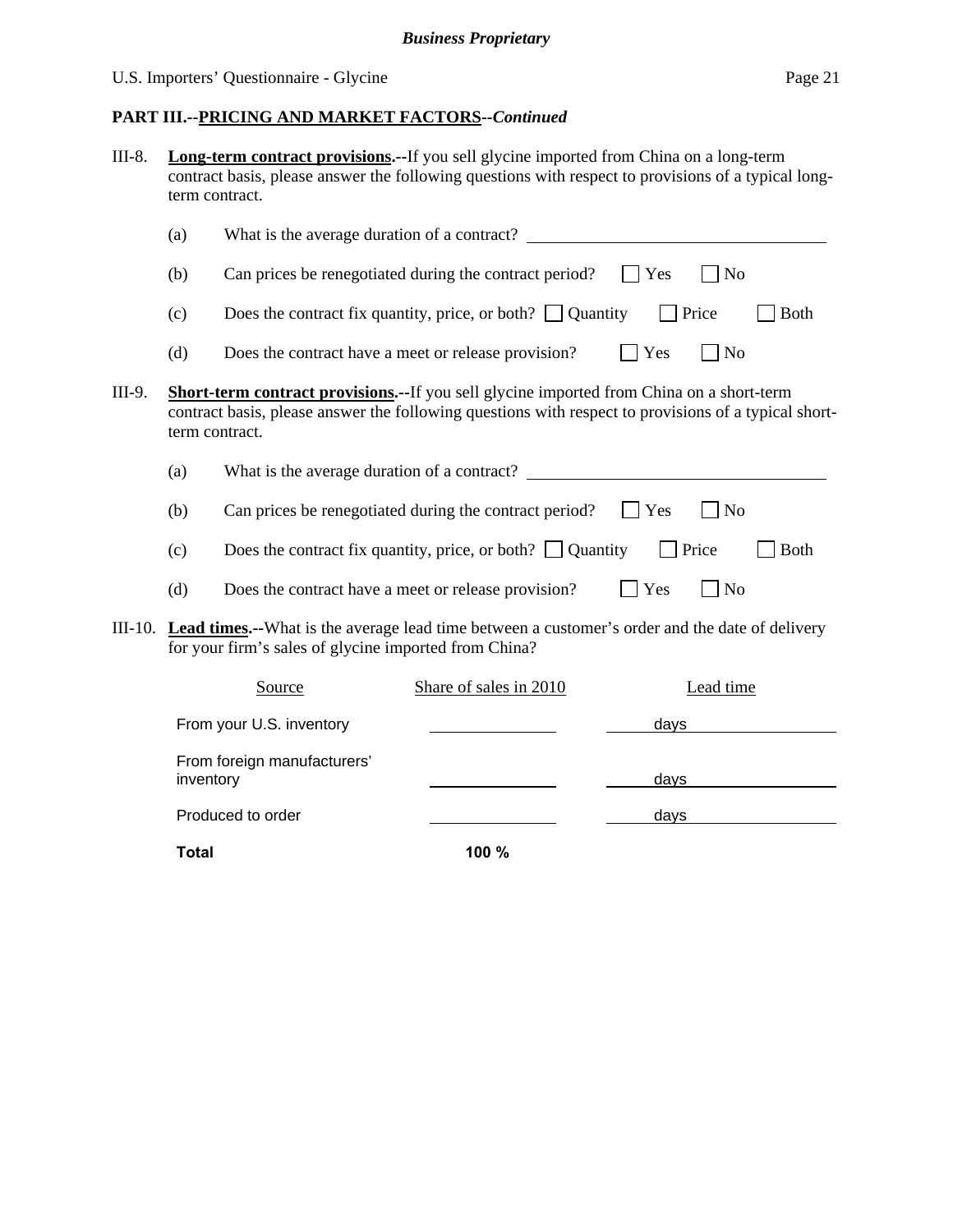## U.S. Importers' Questionnaire - Glycine Page 21

## **PART III.--PRICING AND MARKET FACTORS***--Continued*

**Total 100 %** 

| III-8. | <b>Long-term contract provisions.--If you sell glycine imported from China on a long-term</b><br>contract basis, please answer the following questions with respect to provisions of a typical long-<br>term contract. |                                                       |                                                                                                                |             |                      |  |
|--------|------------------------------------------------------------------------------------------------------------------------------------------------------------------------------------------------------------------------|-------------------------------------------------------|----------------------------------------------------------------------------------------------------------------|-------------|----------------------|--|
|        | (a)                                                                                                                                                                                                                    |                                                       |                                                                                                                |             |                      |  |
|        | (b)                                                                                                                                                                                                                    |                                                       | Can prices be renegotiated during the contract period?                                                         | Yes         | N <sub>o</sub>       |  |
|        | (c)                                                                                                                                                                                                                    |                                                       | Does the contract fix quantity, price, or both? $\Box$ Quantity                                                |             | Price<br><b>Both</b> |  |
|        | (d)                                                                                                                                                                                                                    | Does the contract have a meet or release provision?   |                                                                                                                | Yes         | $\vert$ No           |  |
| III-9. | Short-term contract provisions.--If you sell glycine imported from China on a short-term<br>contract basis, please answer the following questions with respect to provisions of a typical short-<br>term contract.     |                                                       |                                                                                                                |             |                      |  |
|        | (a)                                                                                                                                                                                                                    |                                                       | What is the average duration of a contract?                                                                    |             |                      |  |
|        | (b)                                                                                                                                                                                                                    |                                                       | Can prices be renegotiated during the contract period?                                                         | Yes         | N <sub>o</sub>       |  |
|        | (c)                                                                                                                                                                                                                    |                                                       | Does the contract fix quantity, price, or both? $\Box$ Quantity                                                |             | <b>Both</b><br>Price |  |
|        | (d)                                                                                                                                                                                                                    | Does the contract have a meet or release provision?   |                                                                                                                | Yes         | $\Box$ No            |  |
|        |                                                                                                                                                                                                                        | for your firm's sales of glycine imported from China? | III-10. <b>Lead times.</b> --What is the average lead time between a customer's order and the date of delivery |             |                      |  |
|        |                                                                                                                                                                                                                        | Source                                                | Share of sales in 2010                                                                                         |             | Lead time            |  |
|        |                                                                                                                                                                                                                        | From your U.S. inventory                              |                                                                                                                | <u>days</u> |                      |  |
|        | inventory                                                                                                                                                                                                              | From foreign manufacturers'                           |                                                                                                                | days        |                      |  |
|        |                                                                                                                                                                                                                        | Produced to order                                     |                                                                                                                | <u>days</u> |                      |  |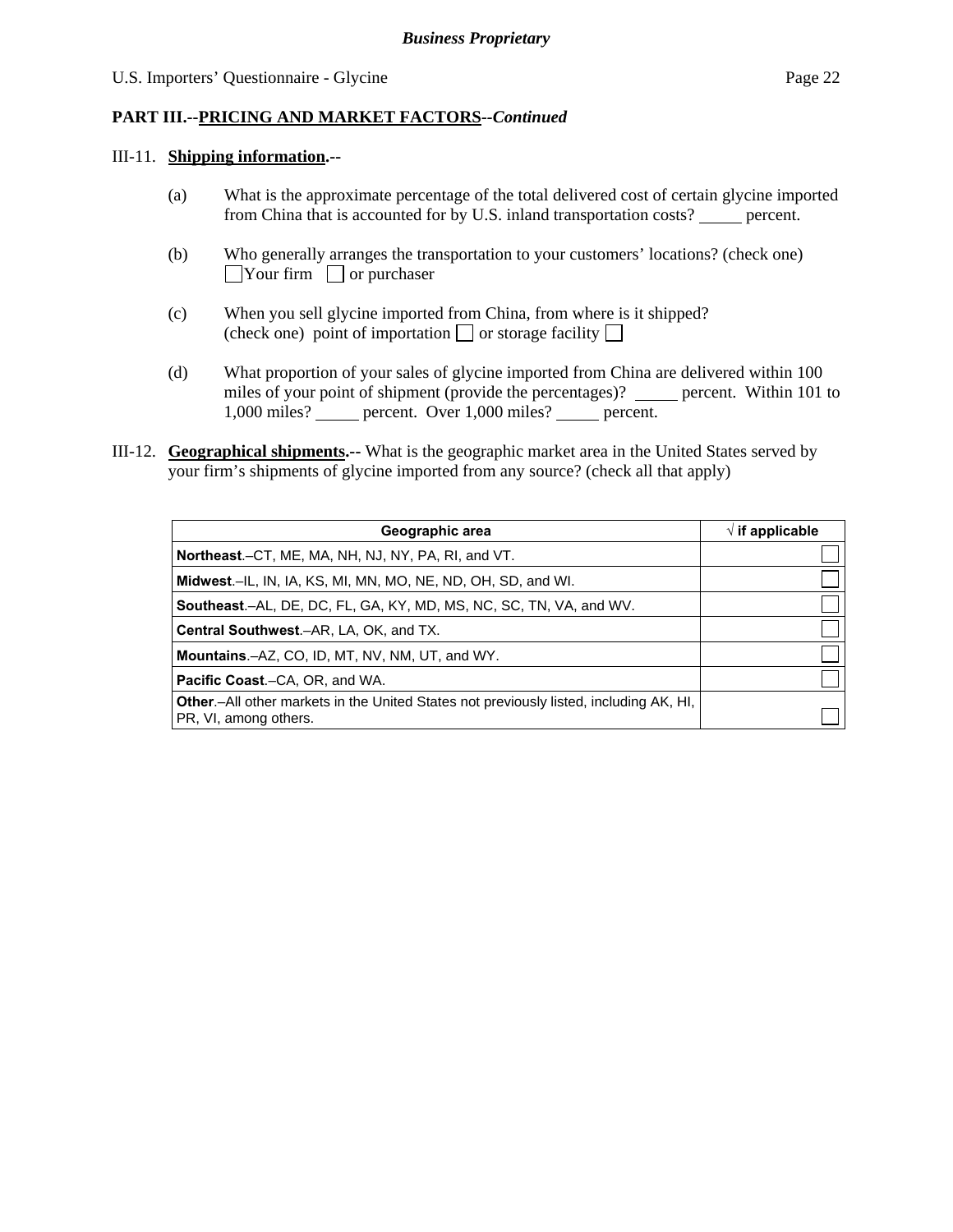#### III-11. **Shipping information.--**

- (a) What is the approximate percentage of the total delivered cost of certain glycine imported from China that is accounted for by U.S. inland transportation costs? percent.
- (b) Who generally arranges the transportation to your customers' locations? (check one)  $\Box$ Your firm  $\Box$  or purchaser
- (c) When you sell glycine imported from China, from where is it shipped? (check one) point of importation  $\Box$  or storage facility  $\Box$
- (d) What proportion of your sales of glycine imported from China are delivered within 100 miles of your point of shipment (provide the percentages)? \_\_\_\_\_ percent. Within 101 to 1,000 miles? percent. Over 1,000 miles? percent.
- III-12. **Geographical shipments.--** What is the geographic market area in the United States served by your firm's shipments of glycine imported from any source? (check all that apply)

| Geographic area                                                                                                 | $\sqrt{ }$ if applicable |
|-----------------------------------------------------------------------------------------------------------------|--------------------------|
| Northeast.–CT, ME, MA, NH, NJ, NY, PA, RI, and VT.                                                              |                          |
| Midwest.-IL, IN, IA, KS, MI, MN, MO, NE, ND, OH, SD, and WI.                                                    |                          |
| <b>Southeast.–AL, DE, DC, FL, GA, KY, MD, MS, NC, SC, TN, VA, and WV.</b>                                       |                          |
| <b>Central Southwest.–AR, LA, OK, and TX.</b>                                                                   |                          |
| <b>Mountains.-AZ, CO, ID, MT, NV, NM, UT, and WY.</b>                                                           |                          |
| <b>Pacific Coast.–CA, OR, and WA.</b>                                                                           |                          |
| Other.-All other markets in the United States not previously listed, including AK, HI,<br>PR, VI, among others. |                          |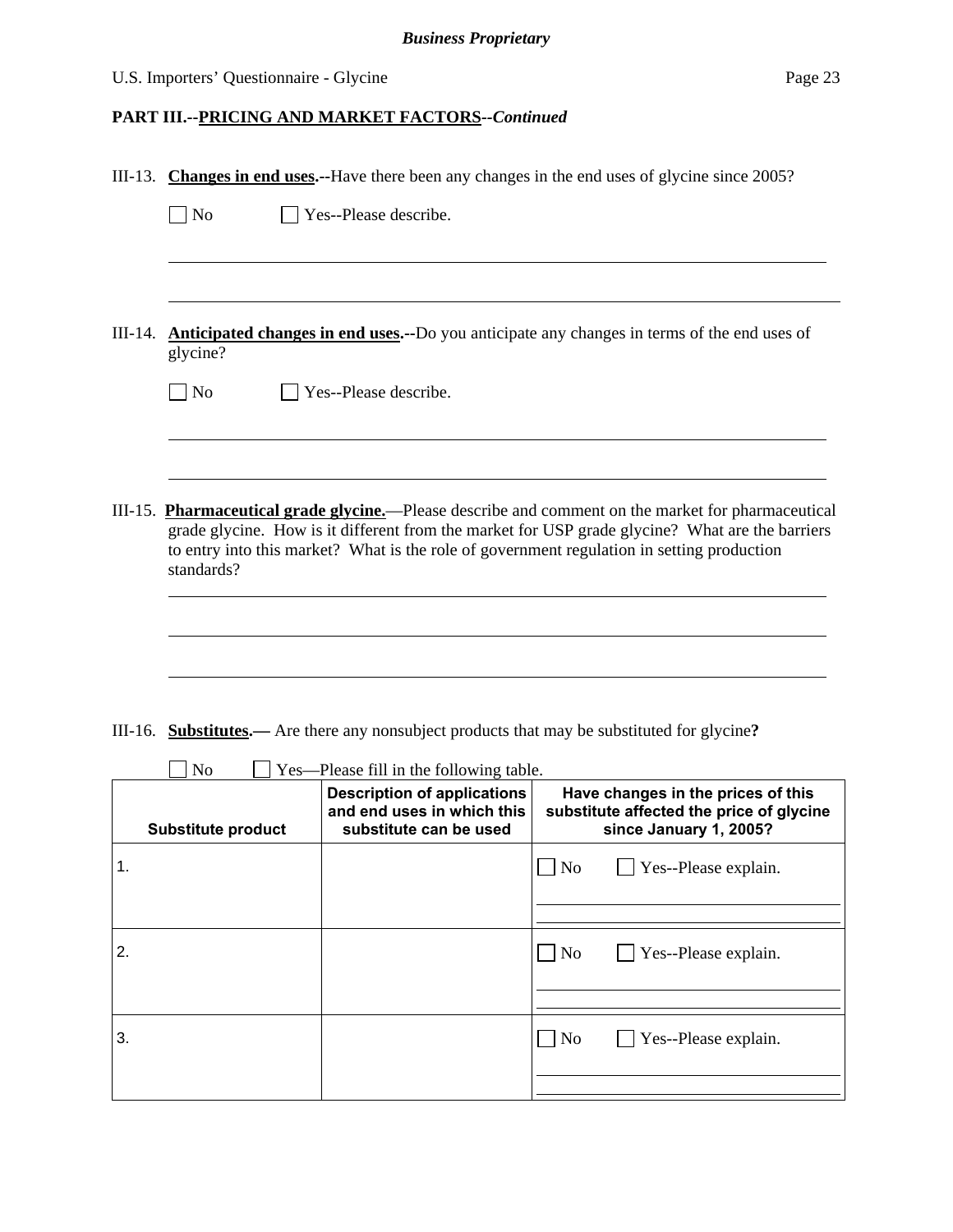## U.S. Importers' Questionnaire - Glycine

|    | III-13. Changes in end uses.--Have there been any changes in the end uses of glycine since 2005?                                                                                                                                                                                                                  |                                                                                            |                                                                                                          |  |
|----|-------------------------------------------------------------------------------------------------------------------------------------------------------------------------------------------------------------------------------------------------------------------------------------------------------------------|--------------------------------------------------------------------------------------------|----------------------------------------------------------------------------------------------------------|--|
|    | $\Box$ No                                                                                                                                                                                                                                                                                                         | Yes--Please describe.                                                                      |                                                                                                          |  |
|    |                                                                                                                                                                                                                                                                                                                   |                                                                                            |                                                                                                          |  |
|    |                                                                                                                                                                                                                                                                                                                   |                                                                                            |                                                                                                          |  |
|    | glycine?                                                                                                                                                                                                                                                                                                          |                                                                                            | III-14. Anticipated changes in end uses.--Do you anticipate any changes in terms of the end uses of      |  |
|    | $\overline{\phantom{a}}$ No                                                                                                                                                                                                                                                                                       | Yes--Please describe.                                                                      |                                                                                                          |  |
|    |                                                                                                                                                                                                                                                                                                                   |                                                                                            |                                                                                                          |  |
|    | III-15. Pharmaceutical grade glycine.—Please describe and comment on the market for pharmaceutical<br>grade glycine. How is it different from the market for USP grade glycine? What are the barriers<br>to entry into this market? What is the role of government regulation in setting production<br>standards? |                                                                                            |                                                                                                          |  |
|    |                                                                                                                                                                                                                                                                                                                   |                                                                                            |                                                                                                          |  |
|    |                                                                                                                                                                                                                                                                                                                   |                                                                                            |                                                                                                          |  |
|    |                                                                                                                                                                                                                                                                                                                   |                                                                                            |                                                                                                          |  |
|    |                                                                                                                                                                                                                                                                                                                   |                                                                                            | III-16. <b>Substitutes.</b> — Are there any nonsubject products that may be substituted for glycine?     |  |
|    | N <sub>o</sub><br>Yes—Please fill in the following table.                                                                                                                                                                                                                                                         |                                                                                            |                                                                                                          |  |
|    | <b>Substitute product</b>                                                                                                                                                                                                                                                                                         | <b>Description of applications</b><br>and end uses in which this<br>substitute can be used | Have changes in the prices of this<br>substitute affected the price of glycine<br>since January 1, 2005? |  |
| 1. |                                                                                                                                                                                                                                                                                                                   |                                                                                            | $\overline{\phantom{0}}$<br>Yes--Please explain.<br>$\exists$ No                                         |  |
|    |                                                                                                                                                                                                                                                                                                                   |                                                                                            |                                                                                                          |  |
| 2. |                                                                                                                                                                                                                                                                                                                   |                                                                                            | $\Box$ No<br>Yes--Please explain.                                                                        |  |
|    |                                                                                                                                                                                                                                                                                                                   |                                                                                            |                                                                                                          |  |
| 3. |                                                                                                                                                                                                                                                                                                                   |                                                                                            | $\Box$ No<br>Yes--Please explain.                                                                        |  |
|    |                                                                                                                                                                                                                                                                                                                   |                                                                                            |                                                                                                          |  |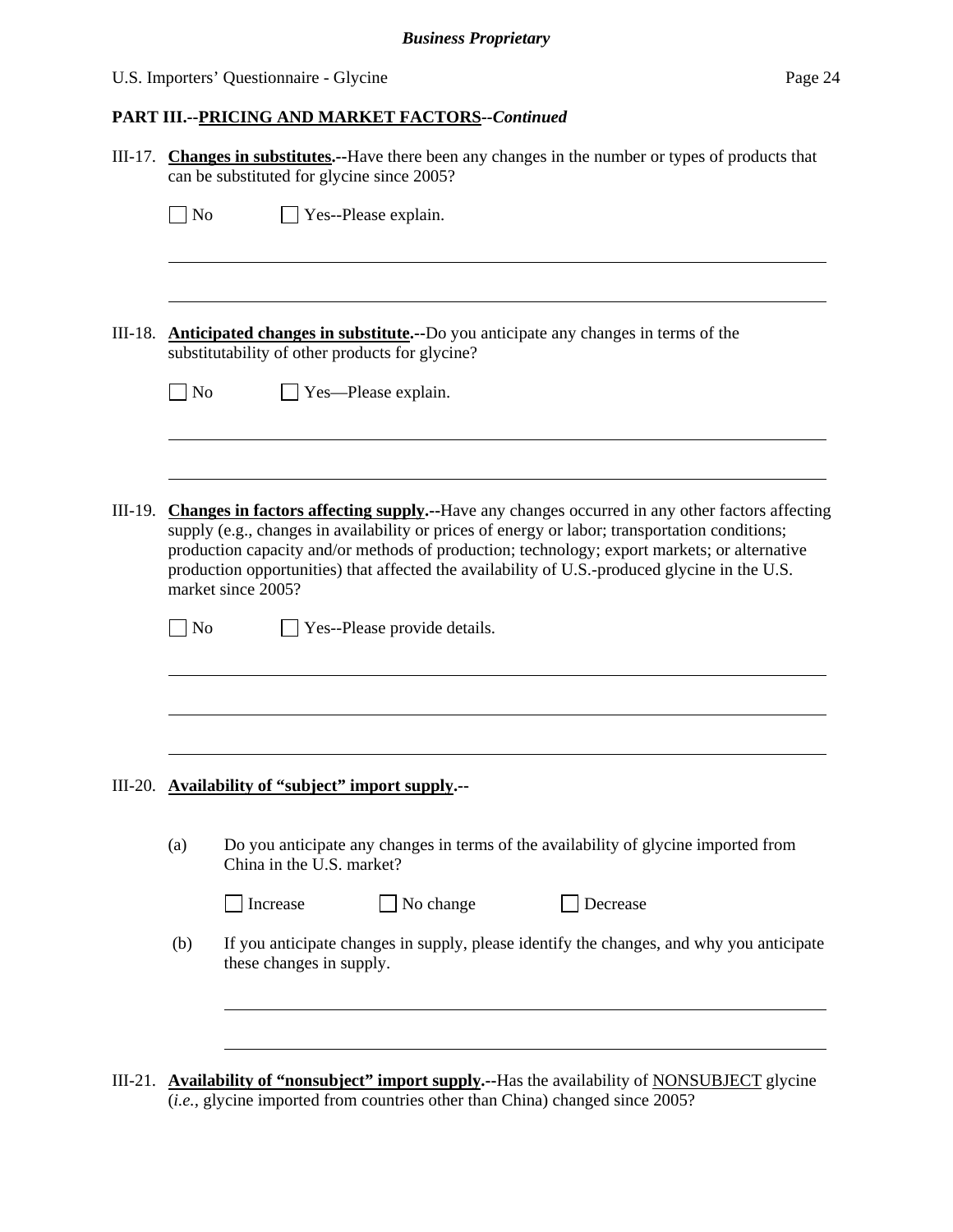## U.S. Importers' Questionnaire - Glycine Page 24

|           |                                                                                                                                                                                                                                                                                                                                                                                                                                 | III-17. Changes in substitutes.--Have there been any changes in the number or types of products that<br>can be substituted for glycine since 2005?                                     |  |  |  |
|-----------|---------------------------------------------------------------------------------------------------------------------------------------------------------------------------------------------------------------------------------------------------------------------------------------------------------------------------------------------------------------------------------------------------------------------------------|----------------------------------------------------------------------------------------------------------------------------------------------------------------------------------------|--|--|--|
|           | $\Box$ No                                                                                                                                                                                                                                                                                                                                                                                                                       | $\Box$ Yes--Please explain.                                                                                                                                                            |  |  |  |
| III-18.   | <b>Anticipated changes in substitute.</b> --Do you anticipate any changes in terms of the<br>substitutability of other products for glycine?                                                                                                                                                                                                                                                                                    |                                                                                                                                                                                        |  |  |  |
|           | $\Box$ No                                                                                                                                                                                                                                                                                                                                                                                                                       | Yes-Please explain.                                                                                                                                                                    |  |  |  |
| III-19.   | <b>Changes in factors affecting supply.</b> --Have any changes occurred in any other factors affecting<br>supply (e.g., changes in availability or prices of energy or labor; transportation conditions;<br>production capacity and/or methods of production; technology; export markets; or alternative<br>production opportunities) that affected the availability of U.S.-produced glycine in the U.S.<br>market since 2005? |                                                                                                                                                                                        |  |  |  |
|           | $\big $ No                                                                                                                                                                                                                                                                                                                                                                                                                      | Yes--Please provide details.                                                                                                                                                           |  |  |  |
|           | III-20. Availability of "subject" import supply.--                                                                                                                                                                                                                                                                                                                                                                              |                                                                                                                                                                                        |  |  |  |
|           | (a)                                                                                                                                                                                                                                                                                                                                                                                                                             | Do you anticipate any changes in terms of the availability of glycine imported from<br>China in the U.S. market?                                                                       |  |  |  |
|           |                                                                                                                                                                                                                                                                                                                                                                                                                                 | No change<br>Increase<br>Decrease                                                                                                                                                      |  |  |  |
|           | (b)                                                                                                                                                                                                                                                                                                                                                                                                                             | If you anticipate changes in supply, please identify the changes, and why you anticipate<br>these changes in supply.                                                                   |  |  |  |
|           |                                                                                                                                                                                                                                                                                                                                                                                                                                 |                                                                                                                                                                                        |  |  |  |
| $III-21.$ |                                                                                                                                                                                                                                                                                                                                                                                                                                 | <b>Availability of "nonsubject" import supply.</b> --Has the availability of <b>NONSUBJECT</b> glycine<br>(i.e., glycine imported from countries other than China) changed since 2005? |  |  |  |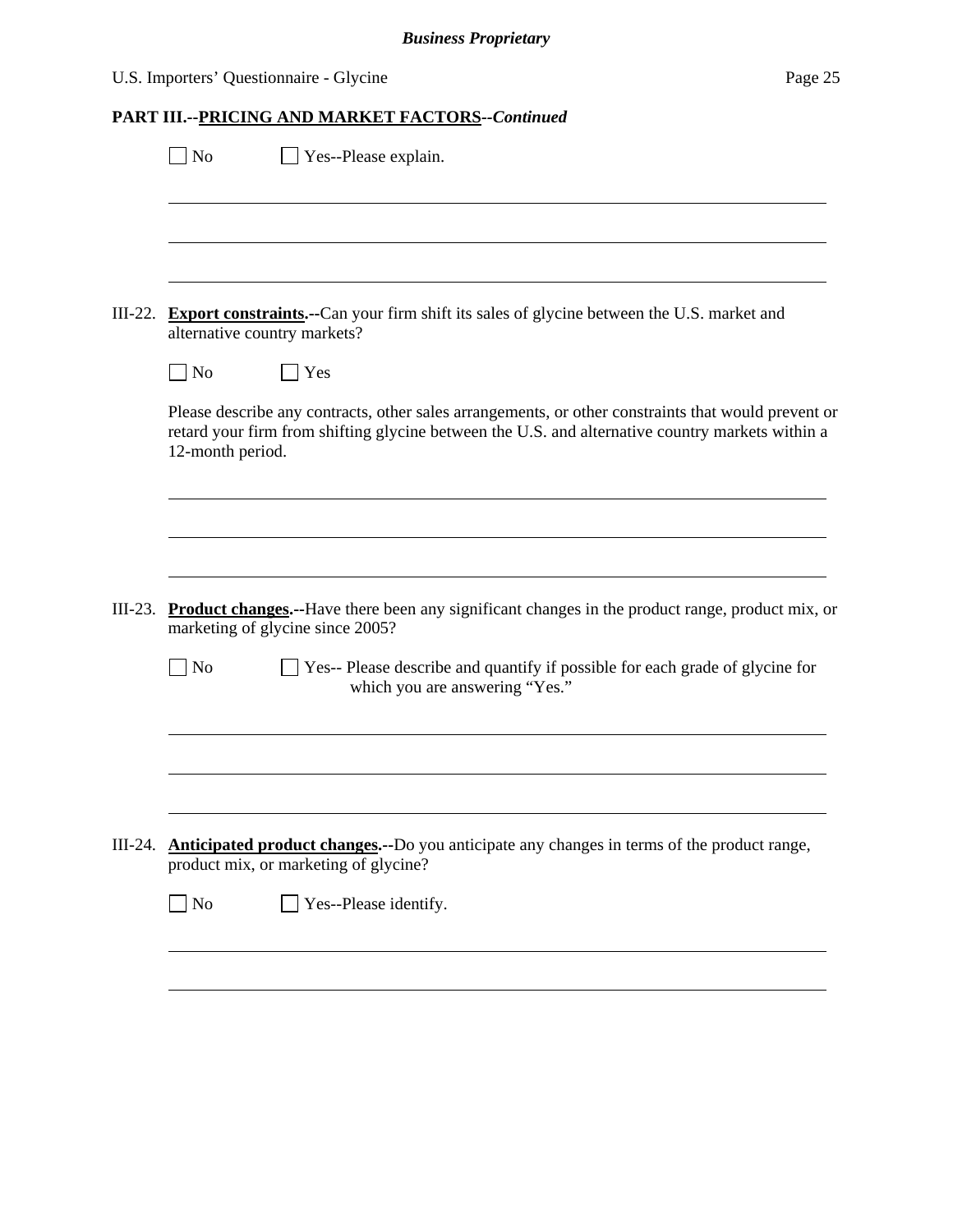## U.S. Importers' Questionnaire - Glycine Page 25

|           | Yes--Please explain.<br><b>No</b>                                                                                                                                                                                           |  |
|-----------|-----------------------------------------------------------------------------------------------------------------------------------------------------------------------------------------------------------------------------|--|
|           |                                                                                                                                                                                                                             |  |
| $III-22.$ | <b>Export constraints.</b> --Can your firm shift its sales of glycine between the U.S. market and<br>alternative country markets?                                                                                           |  |
|           | No<br>Yes                                                                                                                                                                                                                   |  |
|           | Please describe any contracts, other sales arrangements, or other constraints that would prevent or<br>retard your firm from shifting glycine between the U.S. and alternative country markets within a<br>12-month period. |  |
|           |                                                                                                                                                                                                                             |  |
| $III-23.$ | Product changes.--Have there been any significant changes in the product range, product mix, or<br>marketing of glycine since 2005?                                                                                         |  |
|           | $\vert$ No<br>Yes-- Please describe and quantify if possible for each grade of glycine for<br>which you are answering "Yes."                                                                                                |  |
|           |                                                                                                                                                                                                                             |  |
|           |                                                                                                                                                                                                                             |  |
|           | III-24. <b>Anticipated product changes.</b> --Do you anticipate any changes in terms of the product range,<br>product mix, or marketing of glycine?                                                                         |  |
|           | $\Box$ No<br>Yes--Please identify.                                                                                                                                                                                          |  |
|           |                                                                                                                                                                                                                             |  |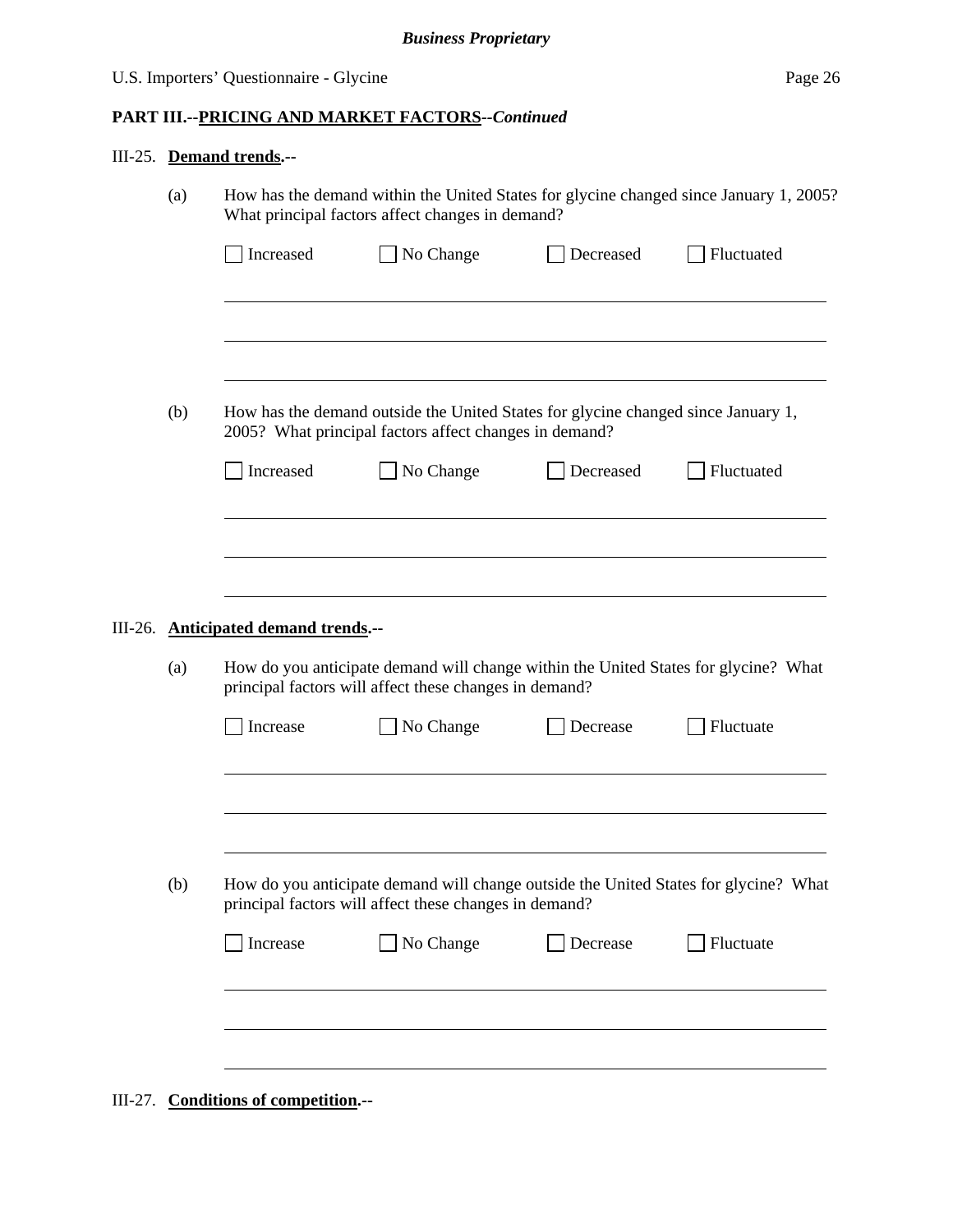## III-25. **Demand trends.--**

|         | (a)                                                                                                                                                  | How has the demand within the United States for glycine changed since January 1, 2005?<br>What principal factors affect changes in demand?     |           |           |            |  |
|---------|------------------------------------------------------------------------------------------------------------------------------------------------------|------------------------------------------------------------------------------------------------------------------------------------------------|-----------|-----------|------------|--|
|         |                                                                                                                                                      | Increased                                                                                                                                      | No Change | Decreased | Fluctuated |  |
|         |                                                                                                                                                      |                                                                                                                                                |           |           |            |  |
|         | (b)                                                                                                                                                  | How has the demand outside the United States for glycine changed since January 1,<br>2005? What principal factors affect changes in demand?    |           |           |            |  |
|         |                                                                                                                                                      | Increased                                                                                                                                      | No Change | Decreased | Fluctuated |  |
|         |                                                                                                                                                      |                                                                                                                                                |           |           |            |  |
|         |                                                                                                                                                      |                                                                                                                                                |           |           |            |  |
| III-26. |                                                                                                                                                      | <b>Anticipated demand trends.--</b>                                                                                                            |           |           |            |  |
|         | How do you anticipate demand will change within the United States for glycine? What<br>(a)<br>principal factors will affect these changes in demand? |                                                                                                                                                |           |           |            |  |
|         |                                                                                                                                                      | Increase                                                                                                                                       | No Change | Decrease  | Fluctuate  |  |
|         |                                                                                                                                                      |                                                                                                                                                |           |           |            |  |
|         | (b)                                                                                                                                                  | How do you anticipate demand will change outside the United States for glycine? What<br>principal factors will affect these changes in demand? |           |           |            |  |
|         |                                                                                                                                                      | Increase                                                                                                                                       | No Change | Decrease  | Fluctuate  |  |
|         |                                                                                                                                                      |                                                                                                                                                |           |           |            |  |
|         |                                                                                                                                                      |                                                                                                                                                |           |           |            |  |
|         |                                                                                                                                                      |                                                                                                                                                |           |           |            |  |

III-27. **Conditions of competition.--**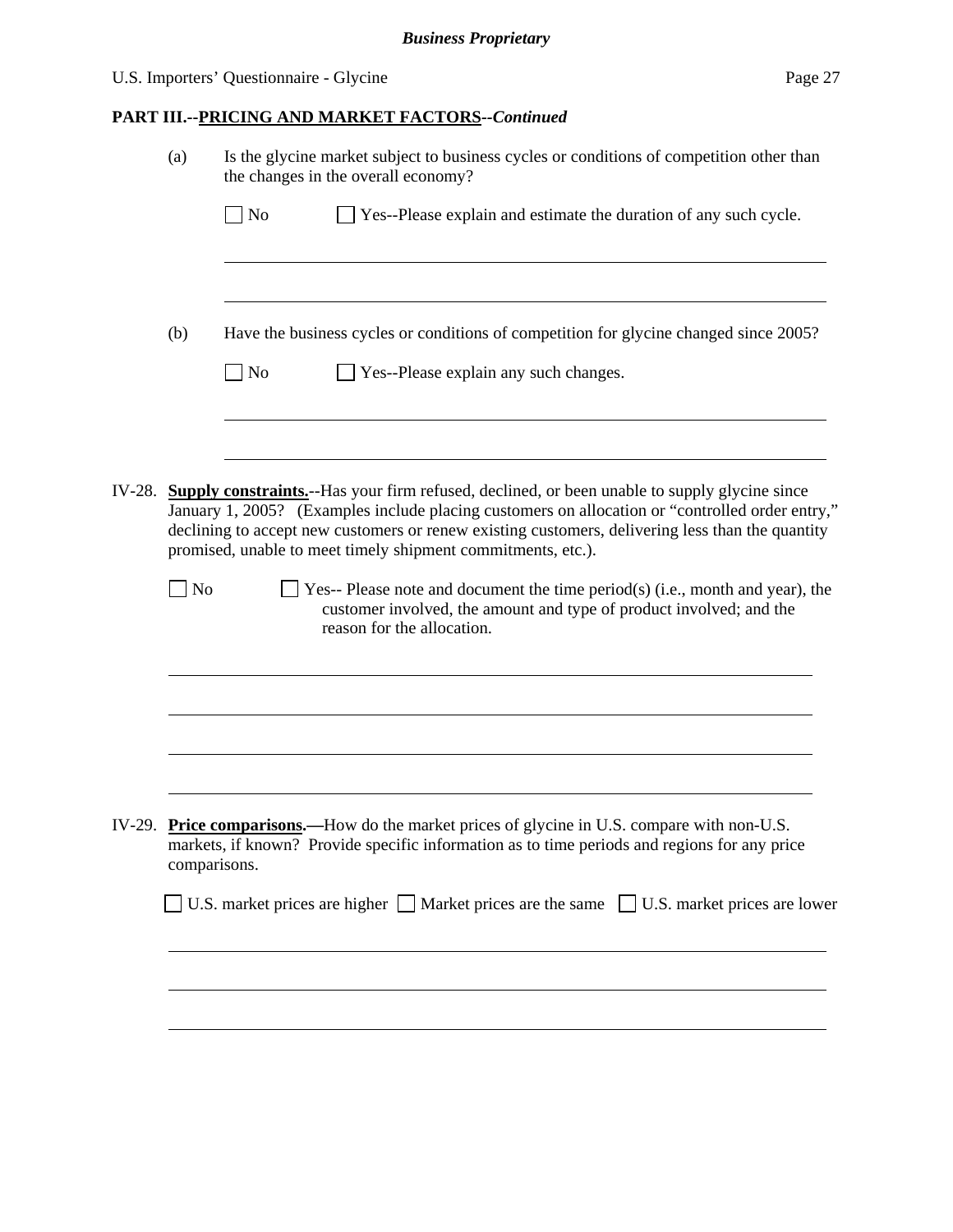## U.S. Importers' Questionnaire - Glycine Page 27

|        | (a)          | Is the glycine market subject to business cycles or conditions of competition other than<br>the changes in the overall economy?                                                                                                                                                                                                                                             |  |  |
|--------|--------------|-----------------------------------------------------------------------------------------------------------------------------------------------------------------------------------------------------------------------------------------------------------------------------------------------------------------------------------------------------------------------------|--|--|
|        |              | $\sqrt{\phantom{a}}$ No<br>Yes--Please explain and estimate the duration of any such cycle.                                                                                                                                                                                                                                                                                 |  |  |
|        | (b)          | Have the business cycles or conditions of competition for glycine changed since 2005?<br>$\Box$ No<br>Yes--Please explain any such changes.                                                                                                                                                                                                                                 |  |  |
| IV-28. |              | <b>Supply constraints.</b> --Has your firm refused, declined, or been unable to supply glycine since<br>January 1, 2005? (Examples include placing customers on allocation or "controlled order entry,"<br>declining to accept new customers or renew existing customers, delivering less than the quantity<br>promised, unable to meet timely shipment commitments, etc.). |  |  |
|        | No           | Yes-- Please note and document the time period(s) (i.e., month and year), the<br>customer involved, the amount and type of product involved; and the<br>reason for the allocation.                                                                                                                                                                                          |  |  |
|        |              |                                                                                                                                                                                                                                                                                                                                                                             |  |  |
|        | comparisons. | IV-29. Price comparisons.—How do the market prices of glycine in U.S. compare with non-U.S.<br>markets, if known? Provide specific information as to time periods and regions for any price                                                                                                                                                                                 |  |  |
|        |              | U.S. market prices are higher $\Box$ Market prices are the same $\Box$ U.S. market prices are lower                                                                                                                                                                                                                                                                         |  |  |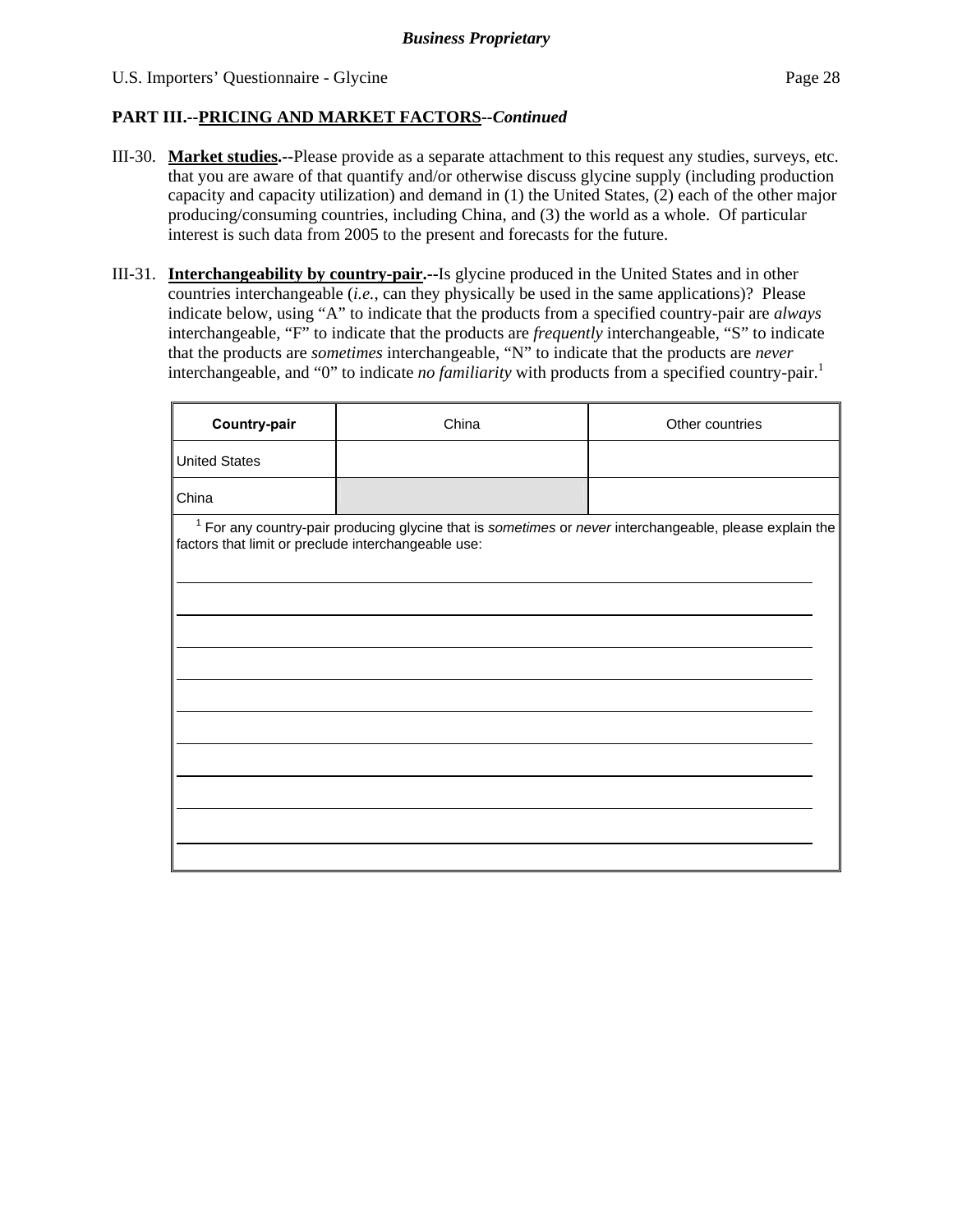- III-30. **Market studies.--**Please provide as a separate attachment to this request any studies, surveys, etc. that you are aware of that quantify and/or otherwise discuss glycine supply (including production capacity and capacity utilization) and demand in (1) the United States, (2) each of the other major producing/consuming countries, including China, and (3) the world as a whole. Of particular interest is such data from 2005 to the present and forecasts for the future.
- III-31. **Interchangeability by country-pair.--**Is glycine produced in the United States and in other countries interchangeable (*i.e.*, can they physically be used in the same applications)? Please indicate below, using "A" to indicate that the products from a specified country-pair are *always* interchangeable, "F" to indicate that the products are *frequently* interchangeable, "S" to indicate that the products are *sometimes* interchangeable, "N" to indicate that the products are *never* interchangeable, and "0" to indicate *no familiarity* with products from a specified country-pair.<sup>1</sup>

| Country-pair                                        | China                                                                                                     | Other countries |
|-----------------------------------------------------|-----------------------------------------------------------------------------------------------------------|-----------------|
| <b>United States</b>                                |                                                                                                           |                 |
| China                                               |                                                                                                           |                 |
| factors that limit or preclude interchangeable use: | $1$ For any country-pair producing glycine that is sometimes or never interchangeable, please explain the |                 |
|                                                     |                                                                                                           |                 |
|                                                     |                                                                                                           |                 |
|                                                     |                                                                                                           |                 |